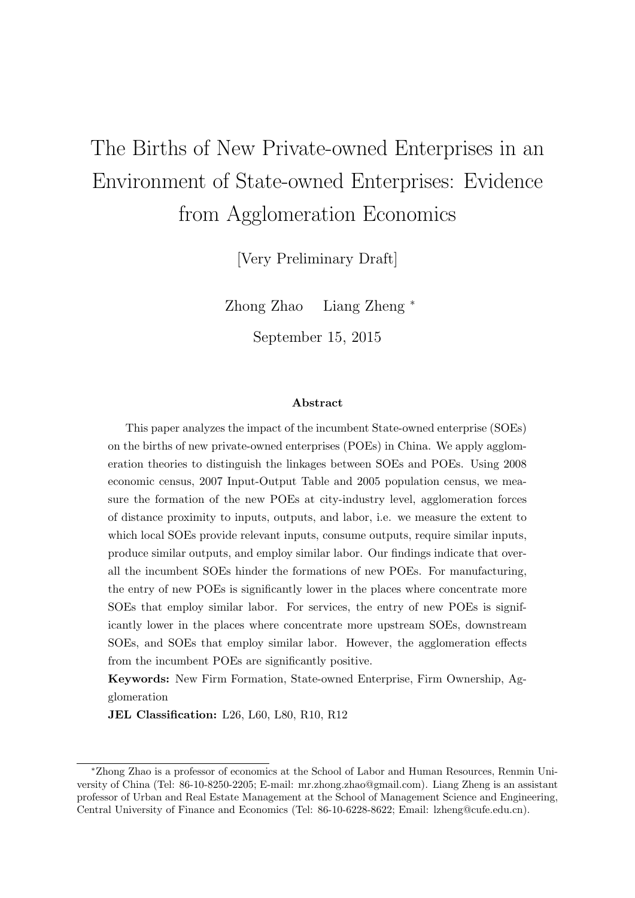# The Births of New Private-owned Enterprises in an Environment of State-owned Enterprises: Evidence from Agglomeration Economics

[Very Preliminary Draft]

Zhong Zhao Liang Zheng <sup>∗</sup>

September 15, 2015

#### Abstract

This paper analyzes the impact of the incumbent State-owned enterprise (SOEs) on the births of new private-owned enterprises (POEs) in China. We apply agglomeration theories to distinguish the linkages between SOEs and POEs. Using 2008 economic census, 2007 Input-Output Table and 2005 population census, we measure the formation of the new POEs at city-industry level, agglomeration forces of distance proximity to inputs, outputs, and labor, i.e. we measure the extent to which local SOEs provide relevant inputs, consume outputs, require similar inputs, produce similar outputs, and employ similar labor. Our findings indicate that overall the incumbent SOEs hinder the formations of new POEs. For manufacturing, the entry of new POEs is significantly lower in the places where concentrate more SOEs that employ similar labor. For services, the entry of new POEs is significantly lower in the places where concentrate more upstream SOEs, downstream SOEs, and SOEs that employ similar labor. However, the agglomeration effects from the incumbent POEs are significantly positive.

Keywords: New Firm Formation, State-owned Enterprise, Firm Ownership, Agglomeration

JEL Classification: L26, L60, L80, R10, R12

<sup>∗</sup>Zhong Zhao is a professor of economics at the School of Labor and Human Resources, Renmin University of China (Tel: 86-10-8250-2205; E-mail: mr.zhong.zhao@gmail.com). Liang Zheng is an assistant professor of Urban and Real Estate Management at the School of Management Science and Engineering, Central University of Finance and Economics (Tel: 86-10-6228-8622; Email: lzheng@cufe.edu.cn).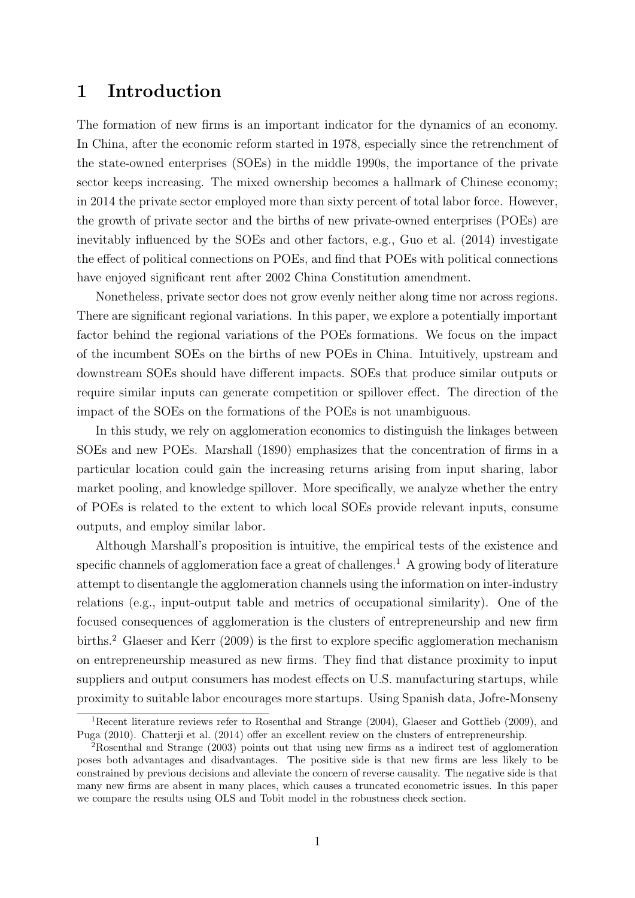## 1 Introduction

The formation of new firms is an important indicator for the dynamics of an economy. In China, after the economic reform started in 1978, especially since the retrenchment of the state-owned enterprises (SOEs) in the middle 1990s, the importance of the private sector keeps increasing. The mixed ownership becomes a hallmark of Chinese economy; in 2014 the private sector employed more than sixty percent of total labor force. However, the growth of private sector and the births of new private-owned enterprises (POEs) are inevitably influenced by the SOEs and other factors, e.g., Guo et al. (2014) investigate the effect of political connections on POEs, and find that POEs with political connections have enjoyed significant rent after 2002 China Constitution amendment.

Nonetheless, private sector does not grow evenly neither along time nor across regions. There are significant regional variations. In this paper, we explore a potentially important factor behind the regional variations of the POEs formations. We focus on the impact of the incumbent SOEs on the births of new POEs in China. Intuitively, upstream and downstream SOEs should have different impacts. SOEs that produce similar outputs or require similar inputs can generate competition or spillover effect. The direction of the impact of the SOEs on the formations of the POEs is not unambiguous.

In this study, we rely on agglomeration economics to distinguish the linkages between SOEs and new POEs. Marshall (1890) emphasizes that the concentration of firms in a particular location could gain the increasing returns arising from input sharing, labor market pooling, and knowledge spillover. More specifically, we analyze whether the entry of POEs is related to the extent to which local SOEs provide relevant inputs, consume outputs, and employ similar labor.

Although Marshall's proposition is intuitive, the empirical tests of the existence and specific channels of agglomeration face a great of challenges.<sup>[1](#page-1-0)</sup> A growing body of literature attempt to disentangle the agglomeration channels using the information on inter-industry relations (e.g., input-output table and metrics of occupational similarity). One of the focused consequences of agglomeration is the clusters of entrepreneurship and new firm births.<sup>[2](#page-1-1)</sup> Glaeser and Kerr (2009) is the first to explore specific agglomeration mechanism on entrepreneurship measured as new firms. They find that distance proximity to input suppliers and output consumers has modest effects on U.S. manufacturing startups, while proximity to suitable labor encourages more startups. Using Spanish data, Jofre-Monseny

<span id="page-1-0"></span><sup>&</sup>lt;sup>1</sup>Recent literature reviews refer to Rosenthal and Strange (2004), Glaeser and Gottlieb (2009), and Puga (2010). Chatterji et al. (2014) offer an excellent review on the clusters of entrepreneurship.

<span id="page-1-1"></span><sup>&</sup>lt;sup>2</sup>Rosenthal and Strange (2003) points out that using new firms as a indirect test of agglomeration poses both advantages and disadvantages. The positive side is that new firms are less likely to be constrained by previous decisions and alleviate the concern of reverse causality. The negative side is that many new firms are absent in many places, which causes a truncated econometric issues. In this paper we compare the results using OLS and Tobit model in the robustness check section.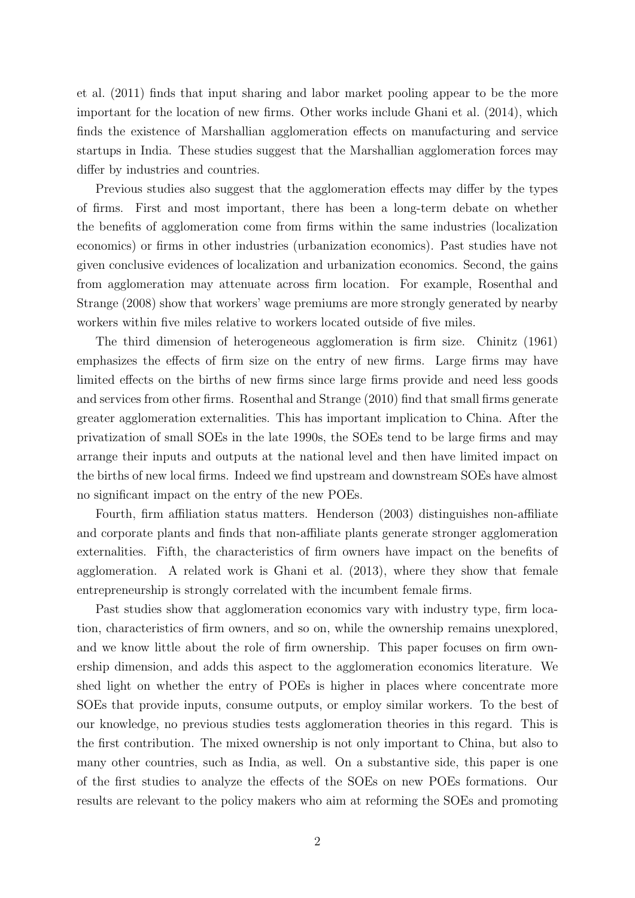et al. (2011) finds that input sharing and labor market pooling appear to be the more important for the location of new firms. Other works include Ghani et al. (2014), which finds the existence of Marshallian agglomeration effects on manufacturing and service startups in India. These studies suggest that the Marshallian agglomeration forces may differ by industries and countries.

Previous studies also suggest that the agglomeration effects may differ by the types of firms. First and most important, there has been a long-term debate on whether the benefits of agglomeration come from firms within the same industries (localization economics) or firms in other industries (urbanization economics). Past studies have not given conclusive evidences of localization and urbanization economics. Second, the gains from agglomeration may attenuate across firm location. For example, Rosenthal and Strange (2008) show that workers' wage premiums are more strongly generated by nearby workers within five miles relative to workers located outside of five miles.

The third dimension of heterogeneous agglomeration is firm size. Chinitz (1961) emphasizes the effects of firm size on the entry of new firms. Large firms may have limited effects on the births of new firms since large firms provide and need less goods and services from other firms. Rosenthal and Strange (2010) find that small firms generate greater agglomeration externalities. This has important implication to China. After the privatization of small SOEs in the late 1990s, the SOEs tend to be large firms and may arrange their inputs and outputs at the national level and then have limited impact on the births of new local firms. Indeed we find upstream and downstream SOEs have almost no significant impact on the entry of the new POEs.

Fourth, firm affiliation status matters. Henderson (2003) distinguishes non-affiliate and corporate plants and finds that non-affiliate plants generate stronger agglomeration externalities. Fifth, the characteristics of firm owners have impact on the benefits of agglomeration. A related work is Ghani et al. (2013), where they show that female entrepreneurship is strongly correlated with the incumbent female firms.

Past studies show that agglomeration economics vary with industry type, firm location, characteristics of firm owners, and so on, while the ownership remains unexplored, and we know little about the role of firm ownership. This paper focuses on firm ownership dimension, and adds this aspect to the agglomeration economics literature. We shed light on whether the entry of POEs is higher in places where concentrate more SOEs that provide inputs, consume outputs, or employ similar workers. To the best of our knowledge, no previous studies tests agglomeration theories in this regard. This is the first contribution. The mixed ownership is not only important to China, but also to many other countries, such as India, as well. On a substantive side, this paper is one of the first studies to analyze the effects of the SOEs on new POEs formations. Our results are relevant to the policy makers who aim at reforming the SOEs and promoting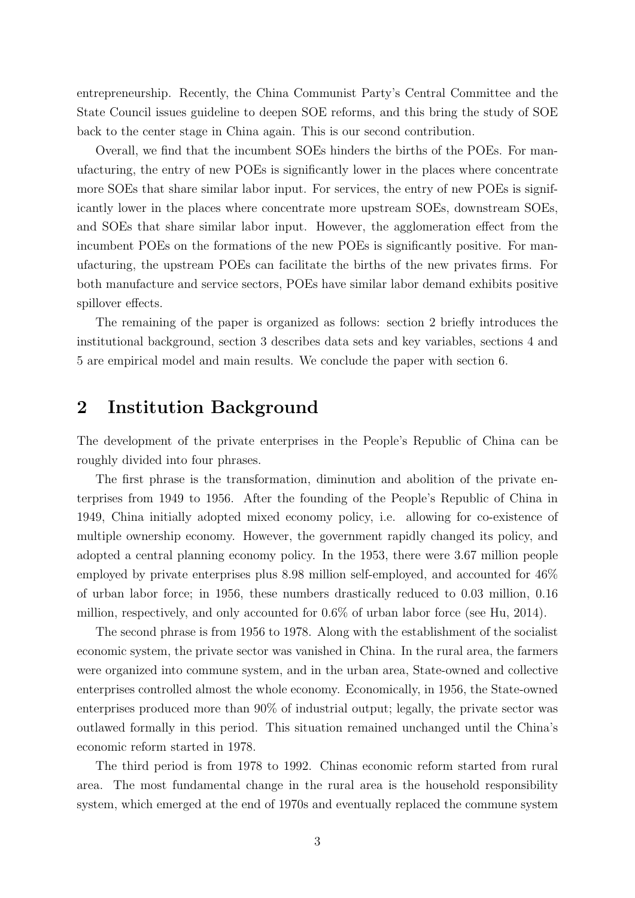entrepreneurship. Recently, the China Communist Party's Central Committee and the State Council issues guideline to deepen SOE reforms, and this bring the study of SOE back to the center stage in China again. This is our second contribution.

Overall, we find that the incumbent SOEs hinders the births of the POEs. For manufacturing, the entry of new POEs is significantly lower in the places where concentrate more SOEs that share similar labor input. For services, the entry of new POEs is significantly lower in the places where concentrate more upstream SOEs, downstream SOEs, and SOEs that share similar labor input. However, the agglomeration effect from the incumbent POEs on the formations of the new POEs is significantly positive. For manufacturing, the upstream POEs can facilitate the births of the new privates firms. For both manufacture and service sectors, POEs have similar labor demand exhibits positive spillover effects.

The remaining of the paper is organized as follows: section 2 briefly introduces the institutional background, section 3 describes data sets and key variables, sections 4 and 5 are empirical model and main results. We conclude the paper with section 6.

## 2 Institution Background

The development of the private enterprises in the People's Republic of China can be roughly divided into four phrases.

The first phrase is the transformation, diminution and abolition of the private enterprises from 1949 to 1956. After the founding of the People's Republic of China in 1949, China initially adopted mixed economy policy, i.e. allowing for co-existence of multiple ownership economy. However, the government rapidly changed its policy, and adopted a central planning economy policy. In the 1953, there were 3.67 million people employed by private enterprises plus 8.98 million self-employed, and accounted for 46% of urban labor force; in 1956, these numbers drastically reduced to 0.03 million, 0.16 million, respectively, and only accounted for 0.6% of urban labor force (see Hu, 2014).

The second phrase is from 1956 to 1978. Along with the establishment of the socialist economic system, the private sector was vanished in China. In the rural area, the farmers were organized into commune system, and in the urban area, State-owned and collective enterprises controlled almost the whole economy. Economically, in 1956, the State-owned enterprises produced more than 90% of industrial output; legally, the private sector was outlawed formally in this period. This situation remained unchanged until the China's economic reform started in 1978.

The third period is from 1978 to 1992. Chinas economic reform started from rural area. The most fundamental change in the rural area is the household responsibility system, which emerged at the end of 1970s and eventually replaced the commune system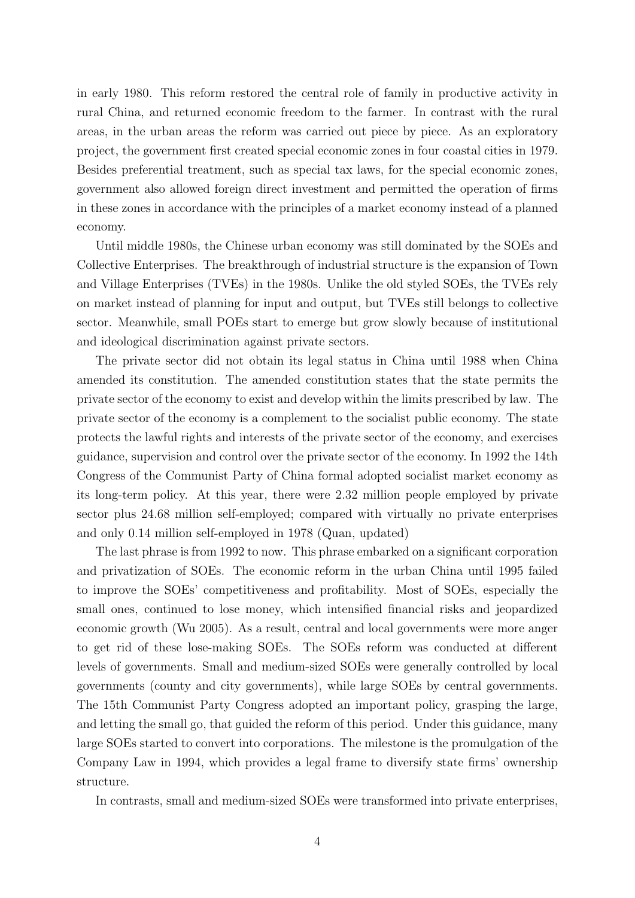in early 1980. This reform restored the central role of family in productive activity in rural China, and returned economic freedom to the farmer. In contrast with the rural areas, in the urban areas the reform was carried out piece by piece. As an exploratory project, the government first created special economic zones in four coastal cities in 1979. Besides preferential treatment, such as special tax laws, for the special economic zones, government also allowed foreign direct investment and permitted the operation of firms in these zones in accordance with the principles of a market economy instead of a planned economy.

Until middle 1980s, the Chinese urban economy was still dominated by the SOEs and Collective Enterprises. The breakthrough of industrial structure is the expansion of Town and Village Enterprises (TVEs) in the 1980s. Unlike the old styled SOEs, the TVEs rely on market instead of planning for input and output, but TVEs still belongs to collective sector. Meanwhile, small POEs start to emerge but grow slowly because of institutional and ideological discrimination against private sectors.

The private sector did not obtain its legal status in China until 1988 when China amended its constitution. The amended constitution states that the state permits the private sector of the economy to exist and develop within the limits prescribed by law. The private sector of the economy is a complement to the socialist public economy. The state protects the lawful rights and interests of the private sector of the economy, and exercises guidance, supervision and control over the private sector of the economy. In 1992 the 14th Congress of the Communist Party of China formal adopted socialist market economy as its long-term policy. At this year, there were 2.32 million people employed by private sector plus 24.68 million self-employed; compared with virtually no private enterprises and only 0.14 million self-employed in 1978 (Quan, updated)

The last phrase is from 1992 to now. This phrase embarked on a significant corporation and privatization of SOEs. The economic reform in the urban China until 1995 failed to improve the SOEs' competitiveness and profitability. Most of SOEs, especially the small ones, continued to lose money, which intensified financial risks and jeopardized economic growth (Wu 2005). As a result, central and local governments were more anger to get rid of these lose-making SOEs. The SOEs reform was conducted at different levels of governments. Small and medium-sized SOEs were generally controlled by local governments (county and city governments), while large SOEs by central governments. The 15th Communist Party Congress adopted an important policy, grasping the large, and letting the small go, that guided the reform of this period. Under this guidance, many large SOEs started to convert into corporations. The milestone is the promulgation of the Company Law in 1994, which provides a legal frame to diversify state firms' ownership structure.

In contrasts, small and medium-sized SOEs were transformed into private enterprises,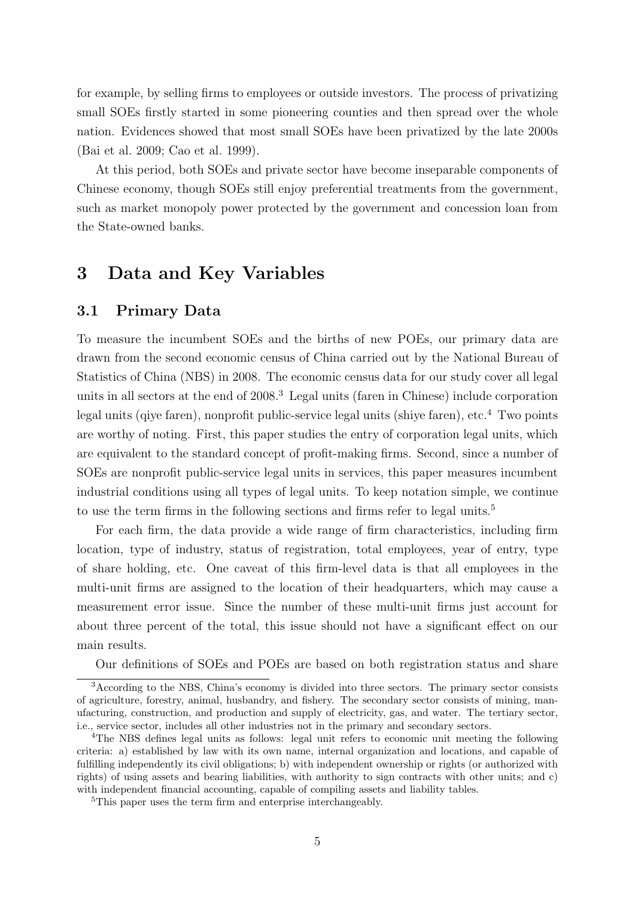for example, by selling firms to employees or outside investors. The process of privatizing small SOEs firstly started in some pioneering counties and then spread over the whole nation. Evidences showed that most small SOEs have been privatized by the late 2000s (Bai et al. 2009; Cao et al. 1999).

At this period, both SOEs and private sector have become inseparable components of Chinese economy, though SOEs still enjoy preferential treatments from the government, such as market monopoly power protected by the government and concession loan from the State-owned banks.

## 3 Data and Key Variables

#### 3.1 Primary Data

To measure the incumbent SOEs and the births of new POEs, our primary data are drawn from the second economic census of China carried out by the National Bureau of Statistics of China (NBS) in 2008. The economic census data for our study cover all legal units in all sectors at the end of 2008.[3](#page-5-0) Legal units (faren in Chinese) include corporation legal units (qiye faren), nonprofit public-service legal units (shiye faren), etc.[4](#page-5-1) Two points are worthy of noting. First, this paper studies the entry of corporation legal units, which are equivalent to the standard concept of profit-making firms. Second, since a number of SOEs are nonprofit public-service legal units in services, this paper measures incumbent industrial conditions using all types of legal units. To keep notation simple, we continue to use the term firms in the following sections and firms refer to legal units.<sup>[5](#page-5-2)</sup>

For each firm, the data provide a wide range of firm characteristics, including firm location, type of industry, status of registration, total employees, year of entry, type of share holding, etc. One caveat of this firm-level data is that all employees in the multi-unit firms are assigned to the location of their headquarters, which may cause a measurement error issue. Since the number of these multi-unit firms just account for about three percent of the total, this issue should not have a significant effect on our main results.

<span id="page-5-0"></span>Our definitions of SOEs and POEs are based on both registration status and share

<sup>3</sup>According to the NBS, China's economy is divided into three sectors. The primary sector consists of agriculture, forestry, animal, husbandry, and fishery. The secondary sector consists of mining, manufacturing, construction, and production and supply of electricity, gas, and water. The tertiary sector, i.e., service sector, includes all other industries not in the primary and secondary sectors.

<span id="page-5-1"></span><sup>&</sup>lt;sup>4</sup>The NBS defines legal units as follows: legal unit refers to economic unit meeting the following criteria: a) established by law with its own name, internal organization and locations, and capable of fulfilling independently its civil obligations; b) with independent ownership or rights (or authorized with rights) of using assets and bearing liabilities, with authority to sign contracts with other units; and c) with independent financial accounting, capable of compiling assets and liability tables.

<span id="page-5-2"></span><sup>&</sup>lt;sup>5</sup>This paper uses the term firm and enterprise interchangeably.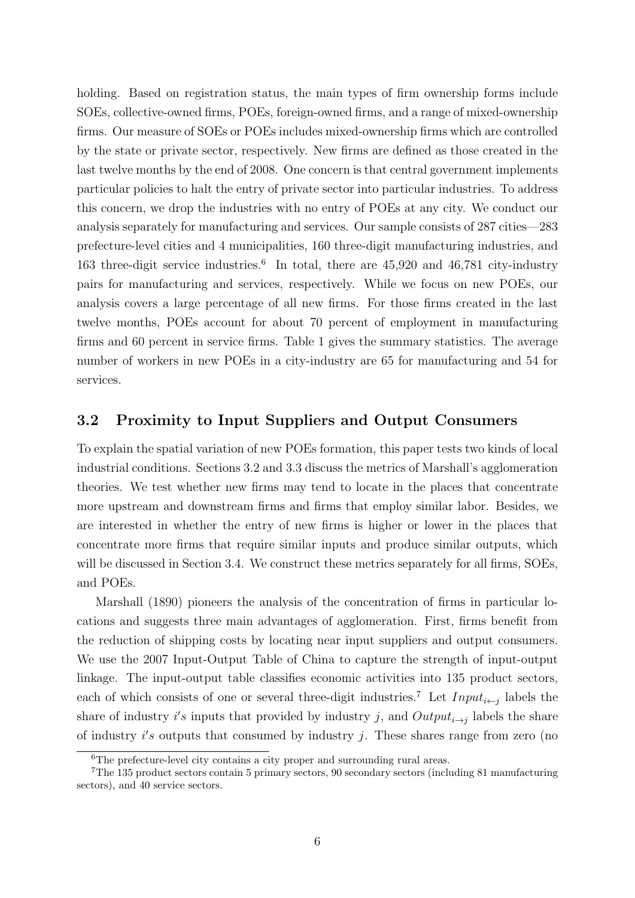holding. Based on registration status, the main types of firm ownership forms include SOEs, collective-owned firms, POEs, foreign-owned firms, and a range of mixed-ownership firms. Our measure of SOEs or POEs includes mixed-ownership firms which are controlled by the state or private sector, respectively. New firms are defined as those created in the last twelve months by the end of 2008. One concern is that central government implements particular policies to halt the entry of private sector into particular industries. To address this concern, we drop the industries with no entry of POEs at any city. We conduct our analysis separately for manufacturing and services. Our sample consists of 287 cities—283 prefecture-level cities and 4 municipalities, 160 three-digit manufacturing industries, and 1[6](#page-6-0)3 three-digit service industries.<sup>6</sup> In total, there are 45,920 and 46,781 city-industry pairs for manufacturing and services, respectively. While we focus on new POEs, our analysis covers a large percentage of all new firms. For those firms created in the last twelve months, POEs account for about 70 percent of employment in manufacturing firms and 60 percent in service firms. Table [1](#page-19-0) gives the summary statistics. The average number of workers in new POEs in a city-industry are 65 for manufacturing and 54 for services.

#### <span id="page-6-1"></span>3.2 Proximity to Input Suppliers and Output Consumers

To explain the spatial variation of new POEs formation, this paper tests two kinds of local industrial conditions. Sections [3.2](#page-6-1) and [3.3](#page-7-0) discuss the metrics of Marshall's agglomeration theories. We test whether new firms may tend to locate in the places that concentrate more upstream and downstream firms and firms that employ similar labor. Besides, we are interested in whether the entry of new firms is higher or lower in the places that concentrate more firms that require similar inputs and produce similar outputs, which will be discussed in Section [3.4.](#page-8-0) We construct these metrics separately for all firms, SOEs, and POEs.

Marshall (1890) pioneers the analysis of the concentration of firms in particular locations and suggests three main advantages of agglomeration. First, firms benefit from the reduction of shipping costs by locating near input suppliers and output consumers. We use the 2007 Input-Output Table of China to capture the strength of input-output linkage. The input-output table classifies economic activities into 135 product sectors, each of which consists of one or several three-digit industries.<sup>[7](#page-6-2)</sup> Let  $Input_{i \leftarrow j}$  labels the share of industry i's inputs that provided by industry j, and  $Output_{i\rightarrow j}$  labels the share of industry  $i's$  outputs that consumed by industry  $j$ . These shares range from zero (no

<span id="page-6-2"></span><span id="page-6-0"></span><sup>6</sup>The prefecture-level city contains a city proper and surrounding rural areas.

<sup>7</sup>The 135 product sectors contain 5 primary sectors, 90 secondary sectors (including 81 manufacturing sectors), and 40 service sectors.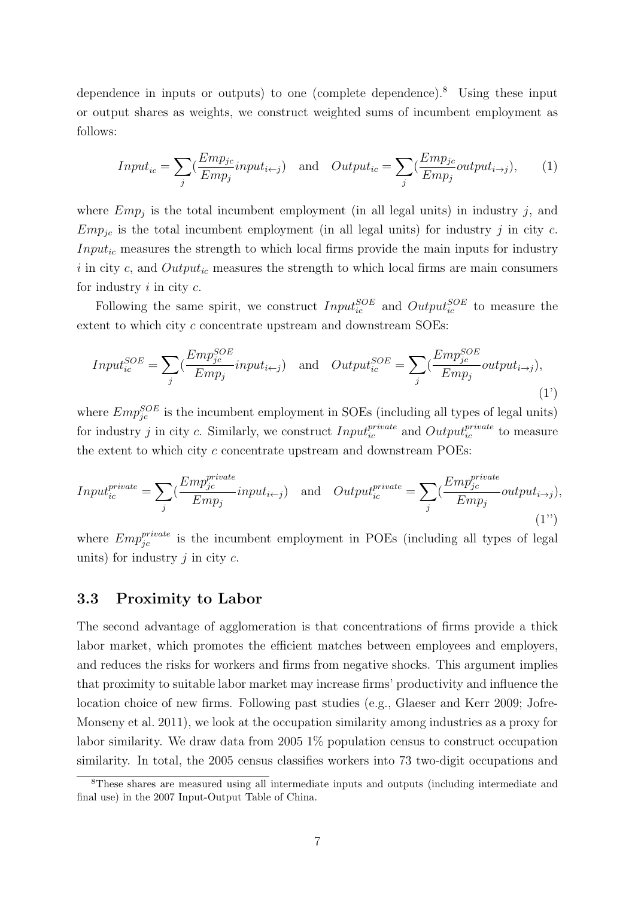dependence in inputs or outputs) to one (complete dependence).[8](#page-7-1) Using these input or output shares as weights, we construct weighted sums of incumbent employment as follows:

$$
Input_{ic} = \sum_{j} \left( \frac{Emp_{jc}}{Emp_j} input_{i \leftarrow j} \right) \quad \text{and} \quad Output_{ic} = \sum_{j} \left( \frac{Emp_{jc}}{Emp_j} output_{i \rightarrow j} \right), \tag{1}
$$

where  $Emp_j$  is the total incumbent employment (in all legal units) in industry j, and  $Emp_{jc}$  is the total incumbent employment (in all legal units) for industry j in city c.  $Input_{ic}$  measures the strength to which local firms provide the main inputs for industry i in city c, and  $Output_{ic}$  measures the strength to which local firms are main consumers for industry  $i$  in city  $c$ .

Following the same spirit, we construct  $Input_{ic}^{SOE}$  and  $Output_{ic}^{SOE}$  to measure the extent to which city c concentrate upstream and downstream SOEs:

$$
Input_{ic}^{SOE} = \sum_{j} \left( \frac{Emp_{jc}^{SOE}}{Emp_j} input_{i \leftarrow j} \right) \quad \text{and} \quad Output_{ic}^{SOE} = \sum_{j} \left( \frac{Emp_{jc}^{SOE}}{Emp_j} output_{i \rightarrow j} \right), \tag{1'}
$$

where  $Emp_{jc}^{SOE}$  is the incumbent employment in SOEs (including all types of legal units) for industry j in city c. Similarly, we construct  $Input_{ic}^{private}$  and  $Output_{ic}^{private}$  to measure the extent to which city c concentrate upstream and downstream POEs:

$$
Input_{ic}^{private} = \sum_{j} \left( \frac{Emp_{jc}^{private}}{Emp_j} input_{i \leftarrow j} \right) \text{ and } Output_{ic}^{private} = \sum_{j} \left( \frac{Emp_{jc}^{private}}{Emp_j} output_{i \rightarrow j} \right), \tag{1''}
$$

where  $Emp_{jc}^{private}$  is the incumbent employment in POEs (including all types of legal units) for industry  $j$  in city  $c$ .

#### <span id="page-7-0"></span>3.3 Proximity to Labor

The second advantage of agglomeration is that concentrations of firms provide a thick labor market, which promotes the efficient matches between employees and employers, and reduces the risks for workers and firms from negative shocks. This argument implies that proximity to suitable labor market may increase firms' productivity and influence the location choice of new firms. Following past studies (e.g., Glaeser and Kerr 2009; Jofre-Monseny et al. 2011), we look at the occupation similarity among industries as a proxy for labor similarity. We draw data from 2005 1% population census to construct occupation similarity. In total, the 2005 census classifies workers into 73 two-digit occupations and

<span id="page-7-1"></span><sup>8</sup>These shares are measured using all intermediate inputs and outputs (including intermediate and final use) in the 2007 Input-Output Table of China.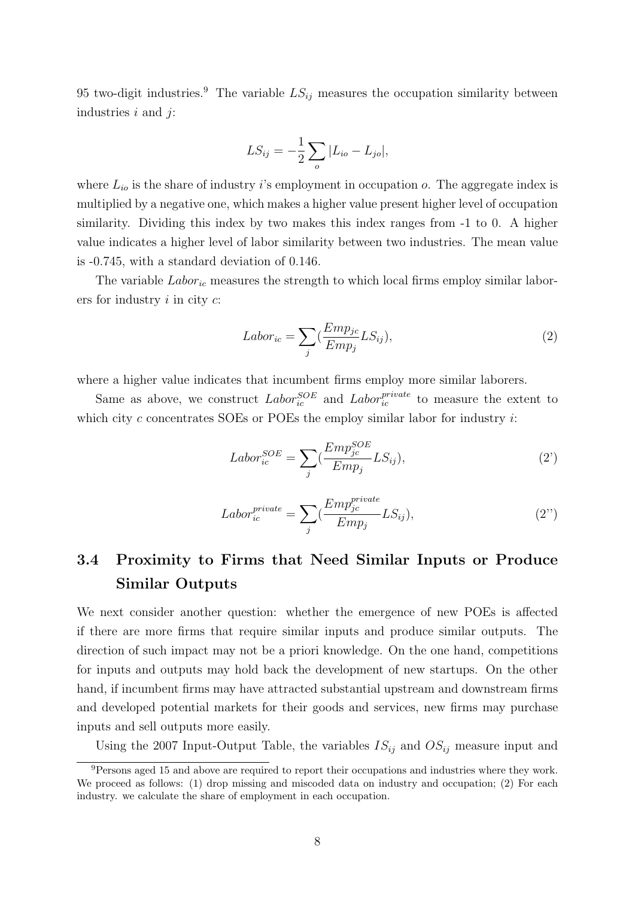[9](#page-8-1)5 two-digit industries.<sup>9</sup> The variable  $LS_{ij}$  measures the occupation similarity between industries  $i$  and  $j$ :

$$
LS_{ij} = -\frac{1}{2} \sum_{o} |L_{io} - L_{jo}|,
$$

where  $L_{io}$  is the share of industry i's employment in occupation o. The aggregate index is multiplied by a negative one, which makes a higher value present higher level of occupation similarity. Dividing this index by two makes this index ranges from -1 to 0. A higher value indicates a higher level of labor similarity between two industries. The mean value is -0.745, with a standard deviation of 0.146.

The variable  $Labor_{ic}$  measures the strength to which local firms employ similar laborers for industry  $i$  in city  $c$ :

$$
Labor_{ic} = \sum_{j} \left(\frac{Emp_{jc}}{Emp_j} LS_{ij}\right),\tag{2}
$$

where a higher value indicates that incumbent firms employ more similar laborers.

Same as above, we construct  $Labor_{ic}^{SOE}$  and  $Labor_{ic}^{private}$  to measure the extent to which city  $c$  concentrates SOEs or POEs the employ similar labor for industry  $i$ :

$$
Labor_{ic}^{SOE} = \sum_{j} \left(\frac{Emp_{jc}^{SOE}}{Emp_j} LS_{ij}\right),\tag{2'}
$$

$$
Labor_{ic}^{private} = \sum_{j} \left( \frac{Emp_{jc}^{private}}{Emp_j} LS_{ij} \right),\tag{2'}
$$

## <span id="page-8-0"></span>3.4 Proximity to Firms that Need Similar Inputs or Produce Similar Outputs

We next consider another question: whether the emergence of new POEs is affected if there are more firms that require similar inputs and produce similar outputs. The direction of such impact may not be a priori knowledge. On the one hand, competitions for inputs and outputs may hold back the development of new startups. On the other hand, if incumbent firms may have attracted substantial upstream and downstream firms and developed potential markets for their goods and services, new firms may purchase inputs and sell outputs more easily.

Using the 2007 Input-Output Table, the variables  $IS_{ij}$  and  $OS_{ij}$  measure input and

<span id="page-8-1"></span><sup>&</sup>lt;sup>9</sup>Persons aged 15 and above are required to report their occupations and industries where they work. We proceed as follows: (1) drop missing and miscoded data on industry and occupation; (2) For each industry. we calculate the share of employment in each occupation.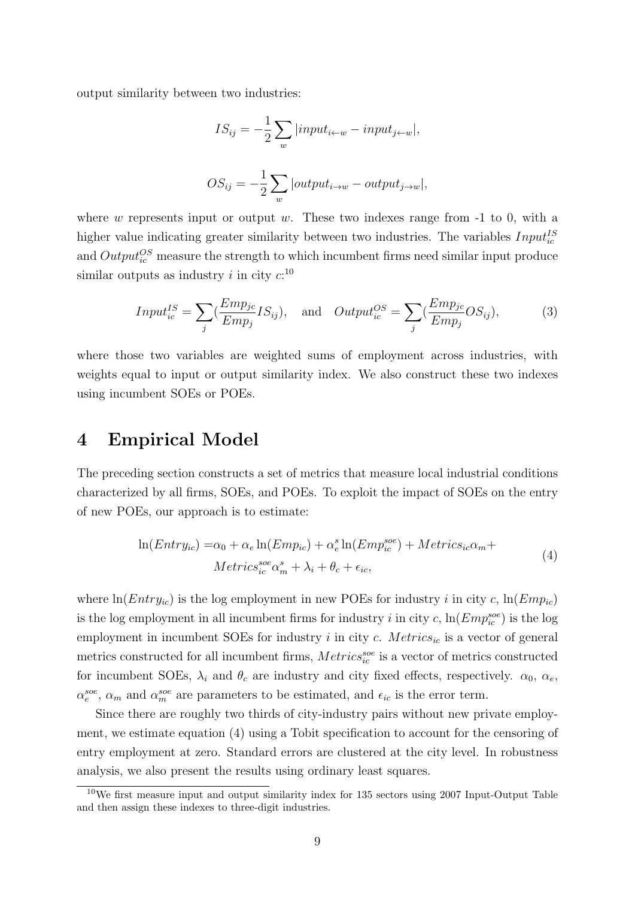output similarity between two industries:

$$
IS_{ij} = -\frac{1}{2} \sum_{w} |input_{i \leftarrow w} - input_{j \leftarrow w}|,
$$
  

$$
OS_{ij} = -\frac{1}{2} \sum_{w} |output_{i \rightarrow w} - output_{j \rightarrow w}|,
$$

where  $w$  represents input or output  $w$ . These two indexes range from  $-1$  to 0, with a higher value indicating greater similarity between two industries. The variables  $Input_{ic}^{IS}$ and  $Output_{ic}^{OS}$  measure the strength to which incumbent firms need similar input produce similar outputs as industry *i* in city  $c:^{10}$  $c:^{10}$  $c:^{10}$ 

$$
Input_{ic}^{IS} = \sum_{j} \left( \frac{Emp_{jc}}{Emp_j} IS_{ij} \right), \text{ and } Output_{ic}^{OS} = \sum_{j} \left( \frac{Emp_{jc}}{Emp_j} OS_{ij} \right), \tag{3}
$$

where those two variables are weighted sums of employment across industries, with weights equal to input or output similarity index. We also construct these two indexes using incumbent SOEs or POEs.

## 4 Empirical Model

The preceding section constructs a set of metrics that measure local industrial conditions characterized by all firms, SOEs, and POEs. To exploit the impact of SOEs on the entry of new POEs, our approach is to estimate:

$$
\ln(Entry_{ic}) = \alpha_0 + \alpha_e \ln(Emp_{ic}) + \alpha_e^s \ln(Emp_{ic}^{see}) + Metrics_{ic}\alpha_m +
$$
  
\n
$$
Metrics_{ic}^{see} \alpha_m^s + \lambda_i + \theta_c + \epsilon_{ic},
$$
\n(4)

<span id="page-9-1"></span>where  $ln(Entry_{ic})$  is the log employment in new POEs for industry i in city c,  $ln(Emp_{ic})$ is the log employment in all incumbent firms for industry i in city c,  $\ln(Emp_{ic}^{soc})$  is the log employment in incumbent SOEs for industry  $i$  in city  $c$ . Metrics<sub>ic</sub> is a vector of general metrics constructed for all incumbent firms,  $Metrics_{ic}^{soe}$  is a vector of metrics constructed for incumbent SOEs,  $\lambda_i$  and  $\theta_c$  are industry and city fixed effects, respectively.  $\alpha_0$ ,  $\alpha_e$ ,  $\alpha_e^{soc}$ ,  $\alpha_m$  and  $\alpha_m^{soc}$  are parameters to be estimated, and  $\epsilon_{ic}$  is the error term.

Since there are roughly two thirds of city-industry pairs without new private employment, we estimate equation [\(4\)](#page-9-1) using a Tobit specification to account for the censoring of entry employment at zero. Standard errors are clustered at the city level. In robustness analysis, we also present the results using ordinary least squares.

<span id="page-9-0"></span><sup>&</sup>lt;sup>10</sup>We first measure input and output similarity index for 135 sectors using 2007 Input-Output Table and then assign these indexes to three-digit industries.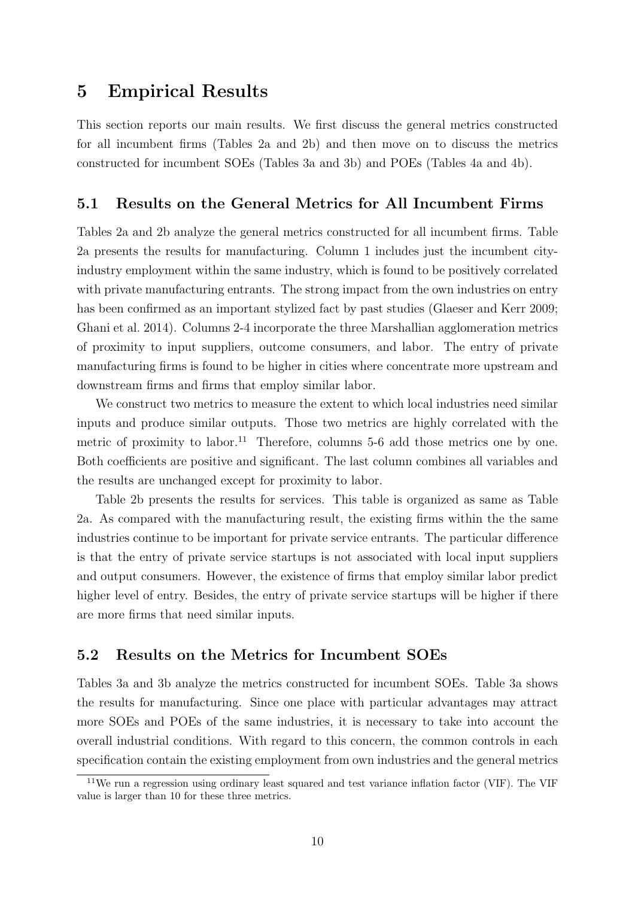## 5 Empirical Results

This section reports our main results. We first discuss the general metrics constructed for all incumbent firms (Tables [2a](#page-20-0) and [2b\)](#page-21-0) and then move on to discuss the metrics constructed for incumbent SOEs (Tables [3a](#page-22-0) and [3b\)](#page-23-0) and POEs (Tables [4a](#page-24-0) and [4b\)](#page-25-0).

#### 5.1 Results on the General Metrics for All Incumbent Firms

Tables [2a](#page-20-0) and [2b](#page-21-0) analyze the general metrics constructed for all incumbent firms. Table [2a](#page-20-0) presents the results for manufacturing. Column 1 includes just the incumbent cityindustry employment within the same industry, which is found to be positively correlated with private manufacturing entrants. The strong impact from the own industries on entry has been confirmed as an important stylized fact by past studies (Glaeser and Kerr 2009; Ghani et al. 2014). Columns 2-4 incorporate the three Marshallian agglomeration metrics of proximity to input suppliers, outcome consumers, and labor. The entry of private manufacturing firms is found to be higher in cities where concentrate more upstream and downstream firms and firms that employ similar labor.

We construct two metrics to measure the extent to which local industries need similar inputs and produce similar outputs. Those two metrics are highly correlated with the metric of proximity to labor.<sup>[11](#page-10-0)</sup> Therefore, columns 5-6 add those metrics one by one. Both coefficients are positive and significant. The last column combines all variables and the results are unchanged except for proximity to labor.

Table [2b](#page-21-0) presents the results for services. This table is organized as same as Table [2a.](#page-20-0) As compared with the manufacturing result, the existing firms within the the same industries continue to be important for private service entrants. The particular difference is that the entry of private service startups is not associated with local input suppliers and output consumers. However, the existence of firms that employ similar labor predict higher level of entry. Besides, the entry of private service startups will be higher if there are more firms that need similar inputs.

#### 5.2 Results on the Metrics for Incumbent SOEs

Tables [3a](#page-22-0) and [3b](#page-23-0) analyze the metrics constructed for incumbent SOEs. Table [3a](#page-22-0) shows the results for manufacturing. Since one place with particular advantages may attract more SOEs and POEs of the same industries, it is necessary to take into account the overall industrial conditions. With regard to this concern, the common controls in each specification contain the existing employment from own industries and the general metrics

<span id="page-10-0"></span><sup>11</sup>We run a regression using ordinary least squared and test variance inflation factor (VIF). The VIF value is larger than 10 for these three metrics.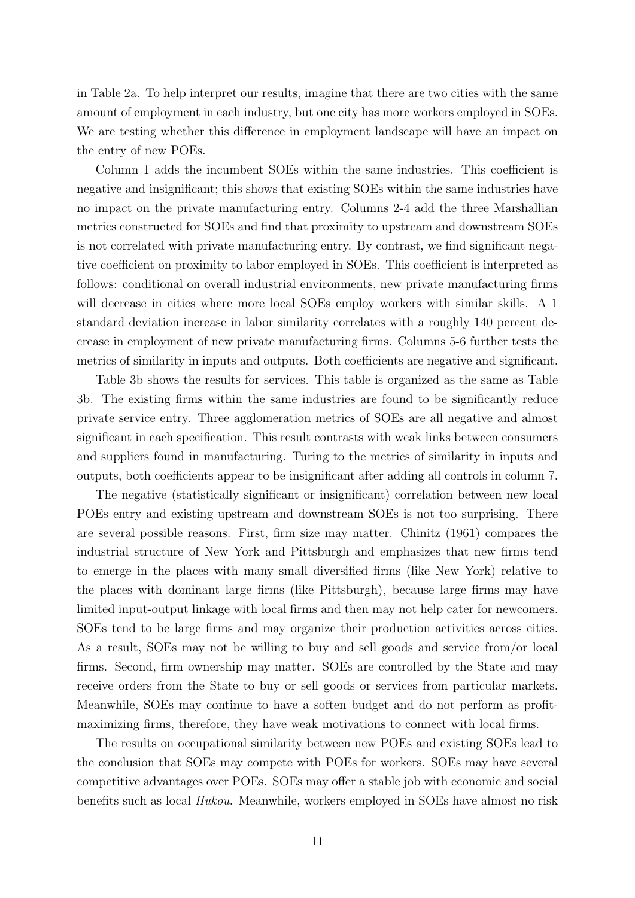in Table [2a.](#page-20-0) To help interpret our results, imagine that there are two cities with the same amount of employment in each industry, but one city has more workers employed in SOEs. We are testing whether this difference in employment landscape will have an impact on the entry of new POEs.

Column 1 adds the incumbent SOEs within the same industries. This coefficient is negative and insignificant; this shows that existing SOEs within the same industries have no impact on the private manufacturing entry. Columns 2-4 add the three Marshallian metrics constructed for SOEs and find that proximity to upstream and downstream SOEs is not correlated with private manufacturing entry. By contrast, we find significant negative coefficient on proximity to labor employed in SOEs. This coefficient is interpreted as follows: conditional on overall industrial environments, new private manufacturing firms will decrease in cities where more local SOEs employ workers with similar skills. A 1 standard deviation increase in labor similarity correlates with a roughly 140 percent decrease in employment of new private manufacturing firms. Columns 5-6 further tests the metrics of similarity in inputs and outputs. Both coefficients are negative and significant.

Table [3b](#page-23-0) shows the results for services. This table is organized as the same as Table [3b.](#page-23-0) The existing firms within the same industries are found to be significantly reduce private service entry. Three agglomeration metrics of SOEs are all negative and almost significant in each specification. This result contrasts with weak links between consumers and suppliers found in manufacturing. Turing to the metrics of similarity in inputs and outputs, both coefficients appear to be insignificant after adding all controls in column 7.

The negative (statistically significant or insignificant) correlation between new local POEs entry and existing upstream and downstream SOEs is not too surprising. There are several possible reasons. First, firm size may matter. Chinitz (1961) compares the industrial structure of New York and Pittsburgh and emphasizes that new firms tend to emerge in the places with many small diversified firms (like New York) relative to the places with dominant large firms (like Pittsburgh), because large firms may have limited input-output linkage with local firms and then may not help cater for newcomers. SOEs tend to be large firms and may organize their production activities across cities. As a result, SOEs may not be willing to buy and sell goods and service from/or local firms. Second, firm ownership may matter. SOEs are controlled by the State and may receive orders from the State to buy or sell goods or services from particular markets. Meanwhile, SOEs may continue to have a soften budget and do not perform as profitmaximizing firms, therefore, they have weak motivations to connect with local firms.

The results on occupational similarity between new POEs and existing SOEs lead to the conclusion that SOEs may compete with POEs for workers. SOEs may have several competitive advantages over POEs. SOEs may offer a stable job with economic and social benefits such as local Hukou. Meanwhile, workers employed in SOEs have almost no risk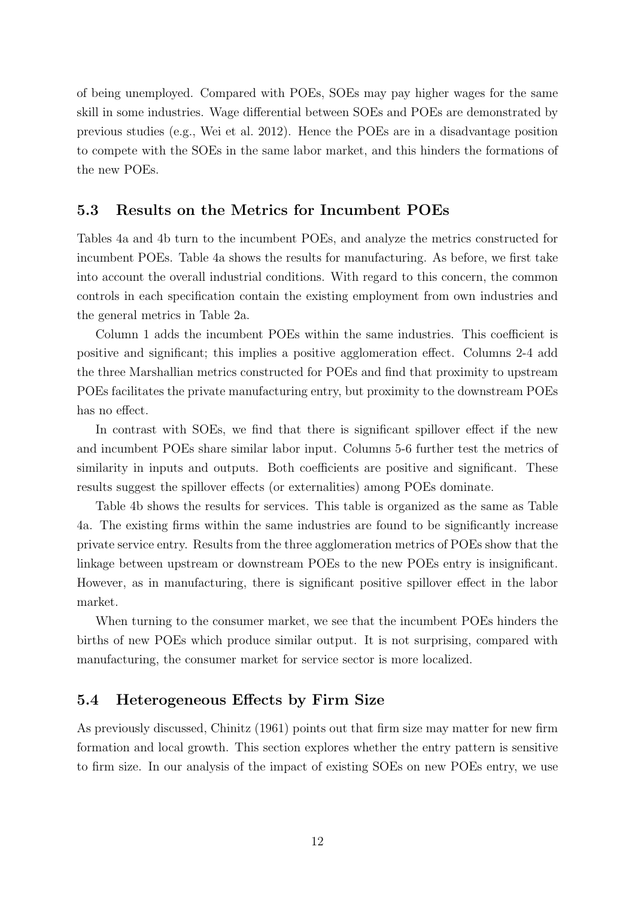of being unemployed. Compared with POEs, SOEs may pay higher wages for the same skill in some industries. Wage differential between SOEs and POEs are demonstrated by previous studies (e.g., Wei et al. 2012). Hence the POEs are in a disadvantage position to compete with the SOEs in the same labor market, and this hinders the formations of the new POEs.

#### 5.3 Results on the Metrics for Incumbent POEs

Tables [4a](#page-24-0) and [4b](#page-25-0) turn to the incumbent POEs, and analyze the metrics constructed for incumbent POEs. Table [4a](#page-24-0) shows the results for manufacturing. As before, we first take into account the overall industrial conditions. With regard to this concern, the common controls in each specification contain the existing employment from own industries and the general metrics in Table [2a.](#page-20-0)

Column 1 adds the incumbent POEs within the same industries. This coefficient is positive and significant; this implies a positive agglomeration effect. Columns 2-4 add the three Marshallian metrics constructed for POEs and find that proximity to upstream POEs facilitates the private manufacturing entry, but proximity to the downstream POEs has no effect.

In contrast with SOEs, we find that there is significant spillover effect if the new and incumbent POEs share similar labor input. Columns 5-6 further test the metrics of similarity in inputs and outputs. Both coefficients are positive and significant. These results suggest the spillover effects (or externalities) among POEs dominate.

Table [4b](#page-25-0) shows the results for services. This table is organized as the same as Table [4a.](#page-24-0) The existing firms within the same industries are found to be significantly increase private service entry. Results from the three agglomeration metrics of POEs show that the linkage between upstream or downstream POEs to the new POEs entry is insignificant. However, as in manufacturing, there is significant positive spillover effect in the labor market.

When turning to the consumer market, we see that the incumbent POEs hinders the births of new POEs which produce similar output. It is not surprising, compared with manufacturing, the consumer market for service sector is more localized.

#### 5.4 Heterogeneous Effects by Firm Size

As previously discussed, Chinitz (1961) points out that firm size may matter for new firm formation and local growth. This section explores whether the entry pattern is sensitive to firm size. In our analysis of the impact of existing SOEs on new POEs entry, we use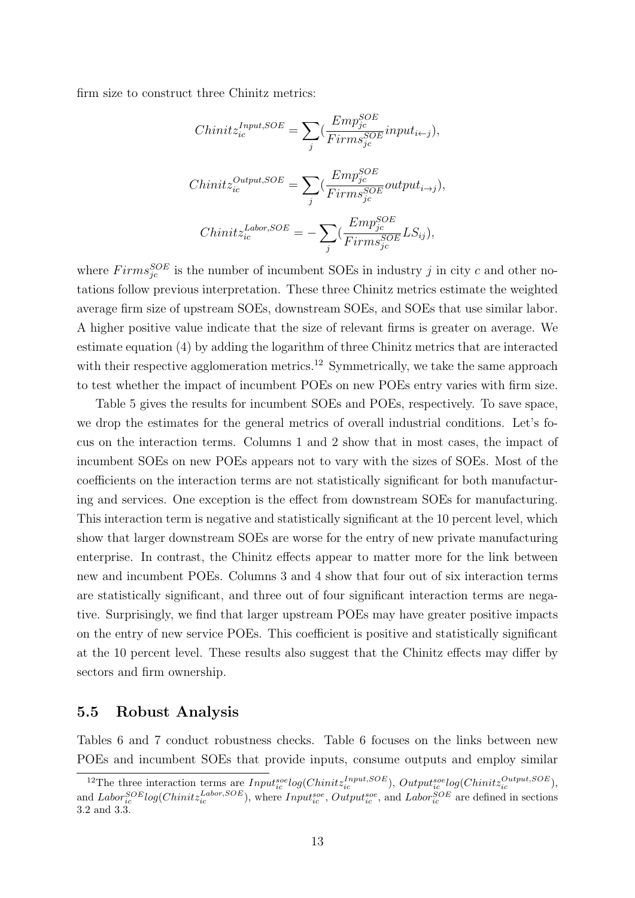firm size to construct three Chinitz metrics:

$$
Chinitz_{ic}^{Input, SOE} = \sum_{j} \left( \frac{Emp_{jc}^{SOE}}{Firms_{jc}^{SOE}} input_{i \leftarrow j} \right),
$$
  
\n
$$
Chinitz_{ic}^{Output, SOE} = \sum_{j} \left( \frac{Emp_{jc}^{SOE}}{Firms_{jc}^{SOE}} output_{i \rightarrow j} \right),
$$
  
\n
$$
Chinitz_{ic}^{Labor, SOE} = -\sum_{j} \left( \frac{Emp_{jc}^{SOE}}{Firms_{jc}^{SOE}} LS_{ij} \right),
$$

where  $Firms_{jc}^{SOE}$  is the number of incumbent SOEs in industry j in city c and other notations follow previous interpretation. These three Chinitz metrics estimate the weighted average firm size of upstream SOEs, downstream SOEs, and SOEs that use similar labor. A higher positive value indicate that the size of relevant firms is greater on average. We estimate equation [\(4\)](#page-9-1) by adding the logarithm of three Chinitz metrics that are interacted with their respective agglomeration metrics.<sup>[12](#page-13-0)</sup> Symmetrically, we take the same approach to test whether the impact of incumbent POEs on new POEs entry varies with firm size.

Table [5](#page-26-0) gives the results for incumbent SOEs and POEs, respectively. To save space, we drop the estimates for the general metrics of overall industrial conditions. Let's focus on the interaction terms. Columns 1 and 2 show that in most cases, the impact of incumbent SOEs on new POEs appears not to vary with the sizes of SOEs. Most of the coefficients on the interaction terms are not statistically significant for both manufacturing and services. One exception is the effect from downstream SOEs for manufacturing. This interaction term is negative and statistically significant at the 10 percent level, which show that larger downstream SOEs are worse for the entry of new private manufacturing enterprise. In contrast, the Chinitz effects appear to matter more for the link between new and incumbent POEs. Columns 3 and 4 show that four out of six interaction terms are statistically significant, and three out of four significant interaction terms are negative. Surprisingly, we find that larger upstream POEs may have greater positive impacts on the entry of new service POEs. This coefficient is positive and statistically significant at the 10 percent level. These results also suggest that the Chinitz effects may differ by sectors and firm ownership.

#### 5.5 Robust Analysis

Tables [6](#page-27-0) and [7](#page-28-0) conduct robustness checks. Table [6](#page-27-0) focuses on the links between new POEs and incumbent SOEs that provide inputs, consume outputs and employ similar

<span id="page-13-0"></span><sup>&</sup>lt;sup>12</sup>The three interaction terms are  $Input_{ic}^{soe}log(Chinitz_{ic}^{Input, SOE})$ ,  $Output_{ic}^{soe}log(Chinitz_{ic}^{Output, SOE})$ , and  $Labor_{ic}^{SOE}log(Chinit_{ic}^{Labor, SOE})$ , where  $Input_{ic}^{soe}$ ,  $Output_{ic}^{soe}$ , and  $Labor_{ic}^{SOE}$  are defined in sections [3.2](#page-6-1) and [3.3.](#page-7-0)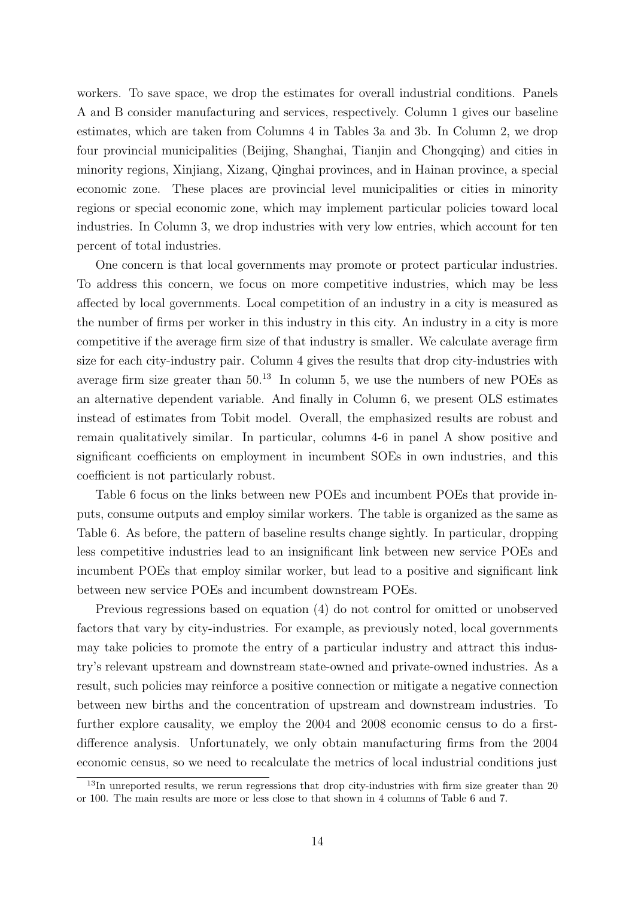workers. To save space, we drop the estimates for overall industrial conditions. Panels A and B consider manufacturing and services, respectively. Column 1 gives our baseline estimates, which are taken from Columns 4 in Tables [3a](#page-22-0) and [3b.](#page-23-0) In Column 2, we drop four provincial municipalities (Beijing, Shanghai, Tianjin and Chongqing) and cities in minority regions, Xinjiang, Xizang, Qinghai provinces, and in Hainan province, a special economic zone. These places are provincial level municipalities or cities in minority regions or special economic zone, which may implement particular policies toward local industries. In Column 3, we drop industries with very low entries, which account for ten percent of total industries.

One concern is that local governments may promote or protect particular industries. To address this concern, we focus on more competitive industries, which may be less affected by local governments. Local competition of an industry in a city is measured as the number of firms per worker in this industry in this city. An industry in a city is more competitive if the average firm size of that industry is smaller. We calculate average firm size for each city-industry pair. Column 4 gives the results that drop city-industries with average firm size greater than  $50^{13}$  $50^{13}$  $50^{13}$  In column 5, we use the numbers of new POEs as an alternative dependent variable. And finally in Column 6, we present OLS estimates instead of estimates from Tobit model. Overall, the emphasized results are robust and remain qualitatively similar. In particular, columns 4-6 in panel A show positive and significant coefficients on employment in incumbent SOEs in own industries, and this coefficient is not particularly robust.

Table [6](#page-27-0) focus on the links between new POEs and incumbent POEs that provide inputs, consume outputs and employ similar workers. The table is organized as the same as Table [6.](#page-27-0) As before, the pattern of baseline results change sightly. In particular, dropping less competitive industries lead to an insignificant link between new service POEs and incumbent POEs that employ similar worker, but lead to a positive and significant link between new service POEs and incumbent downstream POEs.

Previous regressions based on equation [\(4\)](#page-9-1) do not control for omitted or unobserved factors that vary by city-industries. For example, as previously noted, local governments may take policies to promote the entry of a particular industry and attract this industry's relevant upstream and downstream state-owned and private-owned industries. As a result, such policies may reinforce a positive connection or mitigate a negative connection between new births and the concentration of upstream and downstream industries. To further explore causality, we employ the 2004 and 2008 economic census to do a firstdifference analysis. Unfortunately, we only obtain manufacturing firms from the 2004 economic census, so we need to recalculate the metrics of local industrial conditions just

<span id="page-14-0"></span><sup>&</sup>lt;sup>13</sup>In unreported results, we rerun regressions that drop city-industries with firm size greater than 20 or 100. The main results are more or less close to that shown in 4 columns of Table [6](#page-27-0) and [7.](#page-28-0)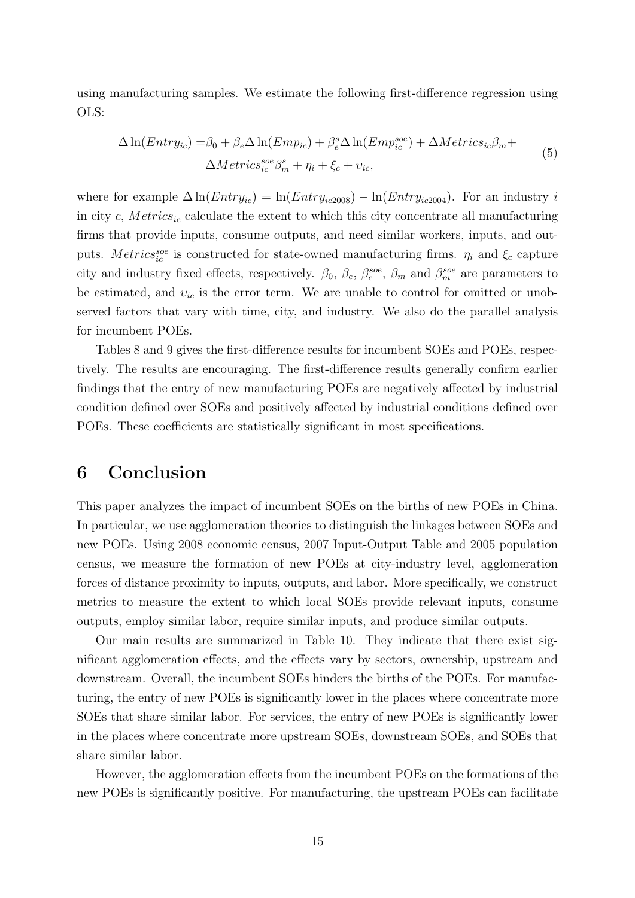using manufacturing samples. We estimate the following first-difference regression using OLS:

$$
\Delta \ln(Entry_{ic}) = \beta_0 + \beta_e \Delta \ln(Emp_{ic}) + \beta_e^s \Delta \ln(Emp_{ic}^{see}) + \Delta Metrics_{ic}\beta_m + \Delta Metrics_{ic}\beta_m + \Delta Metrics_{ic}\beta_m + \eta_i + \xi_c + \nu_{ic},
$$
\n(5)

where for example  $\Delta \ln(Entry_{ic}) = \ln(Entry_{ic2008}) - \ln(Entry_{ic2004})$ . For an industry i in city  $c$ , Metrics<sub>ic</sub> calculate the extent to which this city concentrate all manufacturing firms that provide inputs, consume outputs, and need similar workers, inputs, and outputs. Metrics<sup>soe</sup> is constructed for state-owned manufacturing firms.  $\eta_i$  and  $\xi_c$  capture city and industry fixed effects, respectively.  $\beta_0$ ,  $\beta_e$ ,  $\beta_e^{soc}$ ,  $\beta_m$  and  $\beta_m^{soc}$  are parameters to be estimated, and  $v_{ic}$  is the error term. We are unable to control for omitted or unobserved factors that vary with time, city, and industry. We also do the parallel analysis for incumbent POEs.

Tables [8](#page-29-0) and [9](#page-30-0) gives the first-difference results for incumbent SOEs and POEs, respectively. The results are encouraging. The first-difference results generally confirm earlier findings that the entry of new manufacturing POEs are negatively affected by industrial condition defined over SOEs and positively affected by industrial conditions defined over POEs. These coefficients are statistically significant in most specifications.

## 6 Conclusion

This paper analyzes the impact of incumbent SOEs on the births of new POEs in China. In particular, we use agglomeration theories to distinguish the linkages between SOEs and new POEs. Using 2008 economic census, 2007 Input-Output Table and 2005 population census, we measure the formation of new POEs at city-industry level, agglomeration forces of distance proximity to inputs, outputs, and labor. More specifically, we construct metrics to measure the extent to which local SOEs provide relevant inputs, consume outputs, employ similar labor, require similar inputs, and produce similar outputs.

Our main results are summarized in Table [10.](#page-31-0) They indicate that there exist significant agglomeration effects, and the effects vary by sectors, ownership, upstream and downstream. Overall, the incumbent SOEs hinders the births of the POEs. For manufacturing, the entry of new POEs is significantly lower in the places where concentrate more SOEs that share similar labor. For services, the entry of new POEs is significantly lower in the places where concentrate more upstream SOEs, downstream SOEs, and SOEs that share similar labor.

However, the agglomeration effects from the incumbent POEs on the formations of the new POEs is significantly positive. For manufacturing, the upstream POEs can facilitate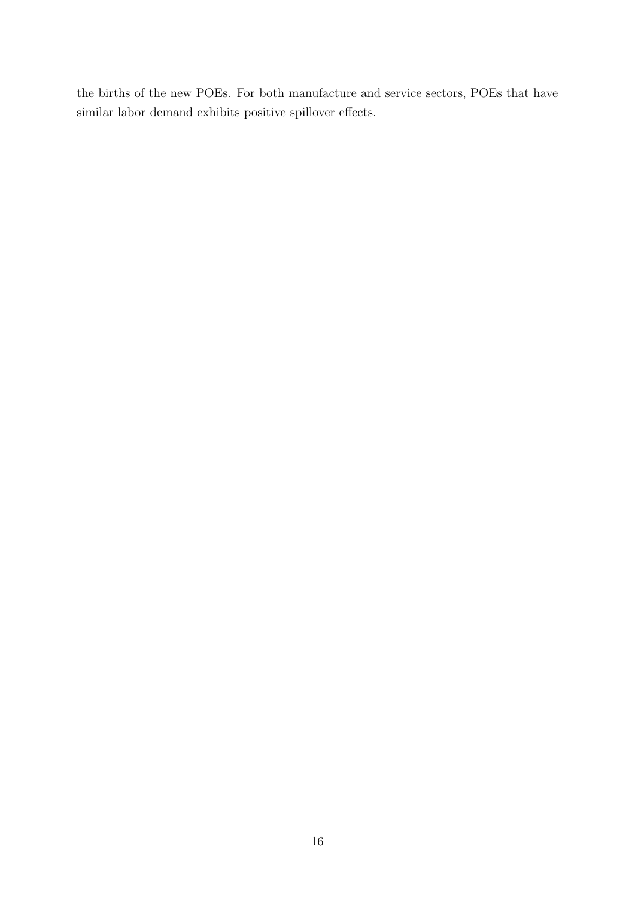the births of the new POEs. For both manufacture and service sectors, POEs that have similar labor demand exhibits positive spillover effects.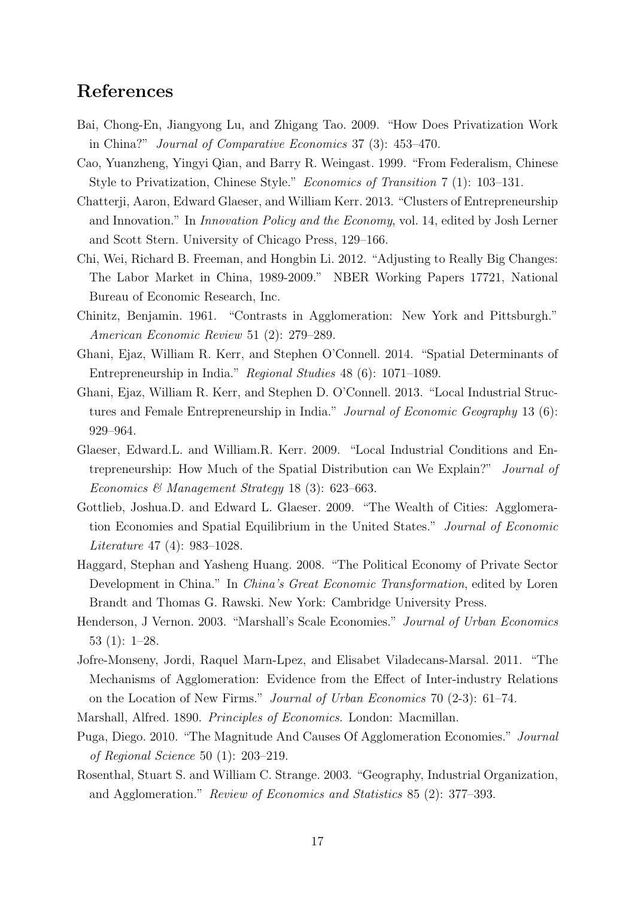# References

- Bai, Chong-En, Jiangyong Lu, and Zhigang Tao. 2009. "How Does Privatization Work in China?" Journal of Comparative Economics 37 (3): 453–470.
- Cao, Yuanzheng, Yingyi Qian, and Barry R. Weingast. 1999. "From Federalism, Chinese Style to Privatization, Chinese Style." Economics of Transition 7 (1): 103–131.
- Chatterji, Aaron, Edward Glaeser, and William Kerr. 2013. "Clusters of Entrepreneurship and Innovation." In Innovation Policy and the Economy, vol. 14, edited by Josh Lerner and Scott Stern. University of Chicago Press, 129–166.
- Chi, Wei, Richard B. Freeman, and Hongbin Li. 2012. "Adjusting to Really Big Changes: The Labor Market in China, 1989-2009." NBER Working Papers 17721, National Bureau of Economic Research, Inc.
- Chinitz, Benjamin. 1961. "Contrasts in Agglomeration: New York and Pittsburgh." American Economic Review 51 (2): 279–289.
- Ghani, Ejaz, William R. Kerr, and Stephen O'Connell. 2014. "Spatial Determinants of Entrepreneurship in India." Regional Studies 48 (6): 1071–1089.
- Ghani, Ejaz, William R. Kerr, and Stephen D. O'Connell. 2013. "Local Industrial Structures and Female Entrepreneurship in India." Journal of Economic Geography 13 (6): 929–964.
- Glaeser, Edward.L. and William.R. Kerr. 2009. "Local Industrial Conditions and Entrepreneurship: How Much of the Spatial Distribution can We Explain?" Journal of Economics & Management Strategy 18 (3): 623-663.
- Gottlieb, Joshua.D. and Edward L. Glaeser. 2009. "The Wealth of Cities: Agglomeration Economies and Spatial Equilibrium in the United States." Journal of Economic Literature 47 (4): 983–1028.
- Haggard, Stephan and Yasheng Huang. 2008. "The Political Economy of Private Sector Development in China." In China's Great Economic Transformation, edited by Loren Brandt and Thomas G. Rawski. New York: Cambridge University Press.
- Henderson, J Vernon. 2003. "Marshall's Scale Economies." Journal of Urban Economics 53 (1): 1–28.
- Jofre-Monseny, Jordi, Raquel Marn-Lpez, and Elisabet Viladecans-Marsal. 2011. "The Mechanisms of Agglomeration: Evidence from the Effect of Inter-industry Relations on the Location of New Firms." Journal of Urban Economics 70 (2-3): 61–74.
- Marshall, Alfred. 1890. Principles of Economics. London: Macmillan.
- Puga, Diego. 2010. "The Magnitude And Causes Of Agglomeration Economies." Journal of Regional Science 50 (1): 203–219.
- Rosenthal, Stuart S. and William C. Strange. 2003. "Geography, Industrial Organization, and Agglomeration." Review of Economics and Statistics 85 (2): 377–393.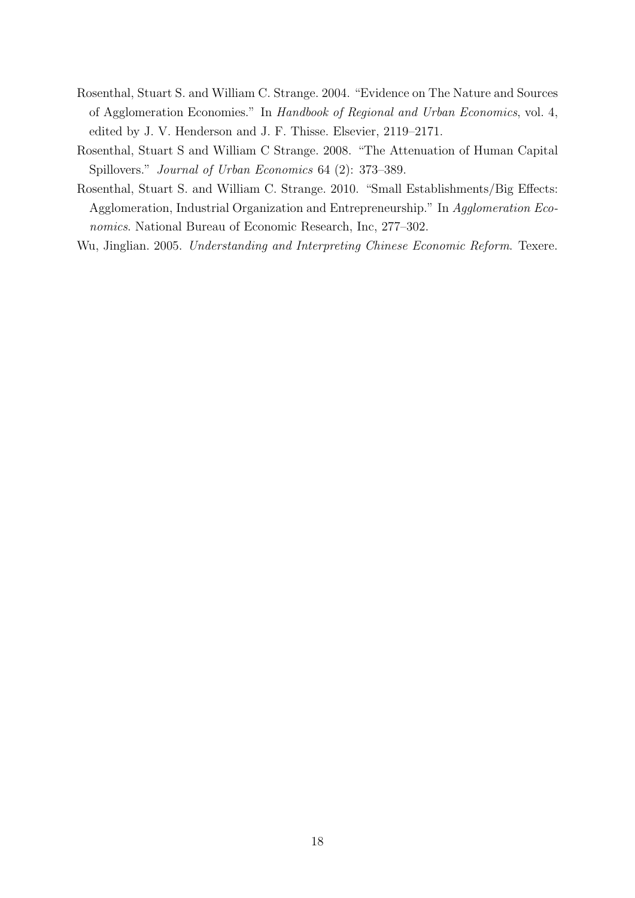- Rosenthal, Stuart S. and William C. Strange. 2004. "Evidence on The Nature and Sources of Agglomeration Economies." In Handbook of Regional and Urban Economics, vol. 4, edited by J. V. Henderson and J. F. Thisse. Elsevier, 2119–2171.
- Rosenthal, Stuart S and William C Strange. 2008. "The Attenuation of Human Capital Spillovers." Journal of Urban Economics 64 (2): 373–389.
- Rosenthal, Stuart S. and William C. Strange. 2010. "Small Establishments/Big Effects: Agglomeration, Industrial Organization and Entrepreneurship." In Agglomeration Economics. National Bureau of Economic Research, Inc, 277–302.
- Wu, Jinglian. 2005. Understanding and Interpreting Chinese Economic Reform. Texere.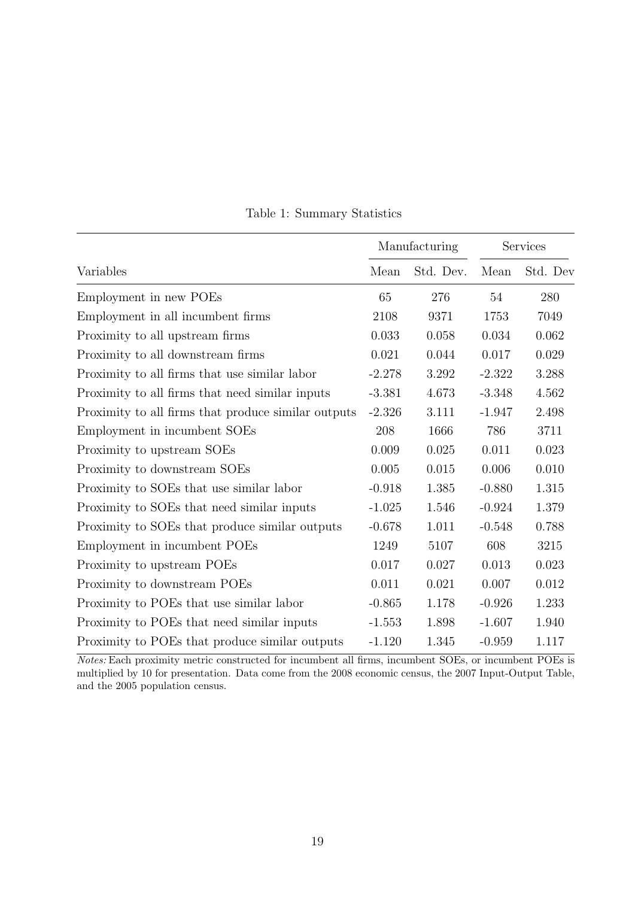<span id="page-19-0"></span>

|                                                     |          | Manufacturing | Services |          |  |
|-----------------------------------------------------|----------|---------------|----------|----------|--|
| Variables                                           | Mean     | Std. Dev.     | Mean     | Std. Dev |  |
| Employment in new POEs                              | 65       | 276           | 54       | 280      |  |
| Employment in all incumbent firms                   | 2108     | 9371          | 1753     | 7049     |  |
| Proximity to all upstream firms                     | 0.033    | 0.058         | 0.034    | 0.062    |  |
| Proximity to all downstream firms                   | 0.021    | 0.044         | 0.017    | 0.029    |  |
| Proximity to all firms that use similar labor       | $-2.278$ | 3.292         | $-2.322$ | 3.288    |  |
| Proximity to all firms that need similar inputs     | $-3.381$ | 4.673         | $-3.348$ | 4.562    |  |
| Proximity to all firms that produce similar outputs | $-2.326$ | 3.111         | $-1.947$ | 2.498    |  |
| Employment in incumbent SOEs                        | 208      | 1666          | 786      | 3711     |  |
| Proximity to upstream SOEs                          | 0.009    | 0.025         | 0.011    | 0.023    |  |
| Proximity to downstream SOEs                        | 0.005    | 0.015         | 0.006    | 0.010    |  |
| Proximity to SOEs that use similar labor            | $-0.918$ | 1.385         | $-0.880$ | 1.315    |  |
| Proximity to SOEs that need similar inputs          | $-1.025$ | 1.546         | $-0.924$ | 1.379    |  |
| Proximity to SOEs that produce similar outputs      | $-0.678$ | 1.011         | $-0.548$ | 0.788    |  |
| Employment in incumbent POEs                        | 1249     | 5107          | 608      | 3215     |  |
| Proximity to upstream POEs                          | 0.017    | 0.027         | 0.013    | 0.023    |  |
| Proximity to downstream POEs                        | 0.011    | 0.021         | 0.007    | 0.012    |  |
| Proximity to POEs that use similar labor            | $-0.865$ | 1.178         | $-0.926$ | 1.233    |  |
| Proximity to POEs that need similar inputs          | $-1.553$ | 1.898         | $-1.607$ | 1.940    |  |
| Proximity to POEs that produce similar outputs      | $-1.120$ | 1.345         | $-0.959$ | 1.117    |  |

Table 1: Summary Statistics

Notes: Each proximity metric constructed for incumbent all firms, incumbent SOEs, or incumbent POEs is multiplied by 10 for presentation. Data come from the 2008 economic census, the 2007 Input-Output Table, and the 2005 population census.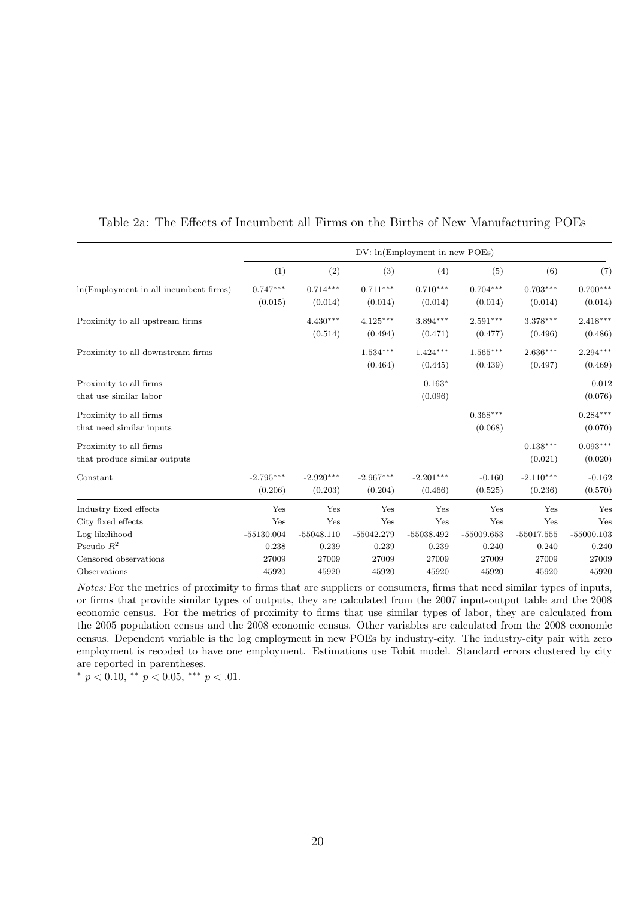|                                                        |                        | DV: ln(Employment in new POEs) |                        |                        |                       |                        |                       |  |  |
|--------------------------------------------------------|------------------------|--------------------------------|------------------------|------------------------|-----------------------|------------------------|-----------------------|--|--|
|                                                        | (1)                    | (2)                            | (3)                    | (4)                    | (5)                   | (6)                    | (7)                   |  |  |
| ln(Employment in all incumbent firms)                  | $0.747***$<br>(0.015)  | $0.714***$<br>(0.014)          | $0.711***$<br>(0.014)  | $0.710***$<br>(0.014)  | $0.704***$<br>(0.014) | $0.703***$<br>(0.014)  | $0.700***$<br>(0.014) |  |  |
| Proximity to all upstream firms                        |                        | $4.430***$<br>(0.514)          | $4.125***$<br>(0.494)  | $3.894***$<br>(0.471)  | $2.591***$<br>(0.477) | $3.378***$<br>(0.496)  | $2.418***$<br>(0.486) |  |  |
| Proximity to all downstream firms                      |                        |                                | $1.534***$<br>(0.464)  | $1.424***$<br>(0.445)  | $1.565***$<br>(0.439) | $2.636***$<br>(0.497)  | $2.294***$<br>(0.469) |  |  |
| Proximity to all firms<br>that use similar labor       |                        |                                |                        | $0.163*$<br>(0.096)    |                       |                        | 0.012<br>(0.076)      |  |  |
| Proximity to all firms<br>that need similar inputs     |                        |                                |                        |                        | $0.368***$<br>(0.068) |                        | $0.284***$<br>(0.070) |  |  |
| Proximity to all firms<br>that produce similar outputs |                        |                                |                        |                        |                       | $0.138***$<br>(0.021)  | $0.093***$<br>(0.020) |  |  |
| Constant                                               | $-2.795***$<br>(0.206) | $-2.920***$<br>(0.203)         | $-2.967***$<br>(0.204) | $-2.201***$<br>(0.466) | $-0.160$<br>(0.525)   | $-2.110***$<br>(0.236) | $-0.162$<br>(0.570)   |  |  |
| Industry fixed effects                                 | Yes                    | Yes                            | Yes                    | Yes                    | Yes                   | Yes                    | Yes                   |  |  |
| City fixed effects                                     | Yes                    | Yes                            | Yes                    | Yes                    | Yes                   | Yes                    | Yes                   |  |  |
| Log likelihood                                         | $-55130.004$           | $-55048.110$                   | $-55042.279$           | $-55038.492$           | $-55009.653$          | $-55017.555$           | $-55000.103$          |  |  |
| Pseudo $R^2$                                           | 0.238                  | 0.239                          | 0.239                  | 0.239                  | 0.240                 | 0.240                  | 0.240                 |  |  |
| Censored observations                                  | 27009                  | 27009                          | 27009                  | 27009                  | 27009                 | 27009                  | 27009                 |  |  |
| Observations                                           | 45920                  | 45920                          | 45920                  | 45920                  | 45920                 | 45920                  | 45920                 |  |  |

#### <span id="page-20-0"></span>Table 2a: The Effects of Incumbent all Firms on the Births of New Manufacturing POEs

Notes: For the metrics of proximity to firms that are suppliers or consumers, firms that need similar types of inputs, or firms that provide similar types of outputs, they are calculated from the 2007 input-output table and the 2008 economic census. For the metrics of proximity to firms that use similar types of labor, they are calculated from the 2005 population census and the 2008 economic census. Other variables are calculated from the 2008 economic census. Dependent variable is the log employment in new POEs by industry-city. The industry-city pair with zero employment is recoded to have one employment. Estimations use Tobit model. Standard errors clustered by city are reported in parentheses.

 $^{*}$   $p$   $<$   $0.10,$   $^{**}$   $p$   $<$   $0.05,$   $^{***}$   $p$   $<$   $.01.$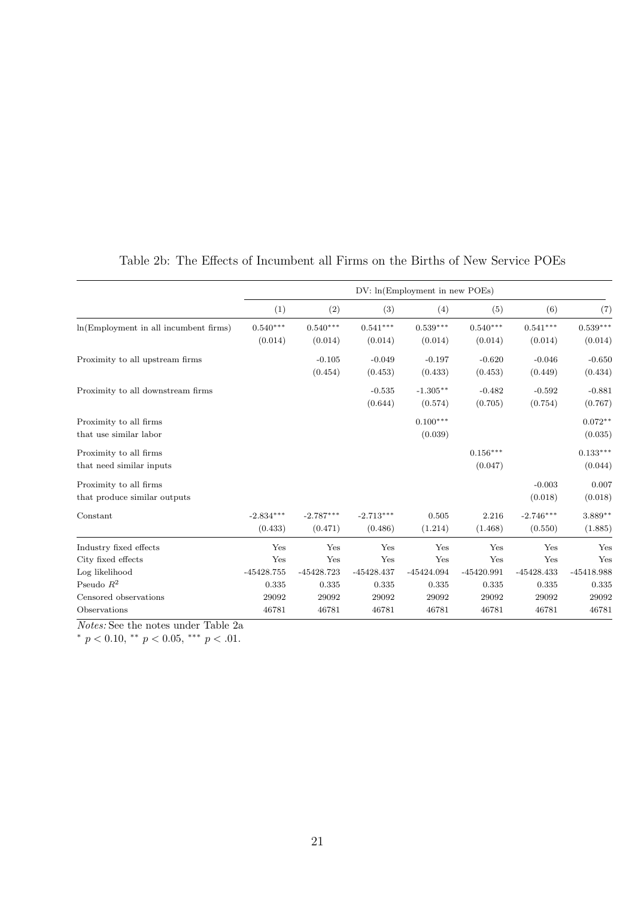<span id="page-21-0"></span>

|                                       |              | DV: ln(Employment in new POEs) |              |              |              |              |                        |  |  |
|---------------------------------------|--------------|--------------------------------|--------------|--------------|--------------|--------------|------------------------|--|--|
|                                       | (1)          | (2)                            | (3)          | (4)          | (5)          | (6)          | (7)                    |  |  |
| ln(Employment in all incumbent firms) | $0.540***$   | $0.540***$                     | $0.541***$   | $0.539***$   | $0.540***$   | $0.541***$   | $0.539^{\ast\ast\ast}$ |  |  |
|                                       | (0.014)      | (0.014)                        | (0.014)      | (0.014)      | (0.014)      | (0.014)      | (0.014)                |  |  |
| Proximity to all upstream firms       |              | $-0.105$                       | $-0.049$     | $-0.197$     | $-0.620$     | $-0.046$     | $-0.650$               |  |  |
|                                       |              | (0.454)                        | (0.453)      | (0.433)      | (0.453)      | (0.449)      | (0.434)                |  |  |
| Proximity to all downstream firms     |              |                                | $-0.535$     | $-1.305**$   | $-0.482$     | $-0.592$     | $-0.881$               |  |  |
|                                       |              |                                | (0.644)      | (0.574)      | (0.705)      | (0.754)      | (0.767)                |  |  |
| Proximity to all firms                |              |                                |              | $0.100***$   |              |              | $0.072**$              |  |  |
| that use similar labor                |              |                                |              | (0.039)      |              |              | (0.035)                |  |  |
| Proximity to all firms                |              |                                |              |              | $0.156***$   |              | $0.133***$             |  |  |
| that need similar inputs              |              |                                |              |              | (0.047)      |              | (0.044)                |  |  |
| Proximity to all firms                |              |                                |              |              |              | $-0.003$     | 0.007                  |  |  |
| that produce similar outputs          |              |                                |              |              |              | (0.018)      | (0.018)                |  |  |
| Constant                              | $-2.834***$  | $-2.787***$                    | $-2.713***$  | 0.505        | 2.216        | $-2.746***$  | $3.889**$              |  |  |
|                                       | (0.433)      | (0.471)                        | (0.486)      | (1.214)      | (1.468)      | (0.550)      | (1.885)                |  |  |
| Industry fixed effects                | Yes          | Yes                            | Yes          | Yes          | Yes          | Yes          | Yes                    |  |  |
| City fixed effects                    | Yes          | Yes                            | Yes          | Yes          | Yes          | Yes          | Yes                    |  |  |
| Log likelihood                        | $-45428.755$ | $-45428.723$                   | $-45428.437$ | $-45424.094$ | $-45420.991$ | $-45428.433$ | $-45418.988$           |  |  |
| Pseudo $R^2$                          | 0.335        | 0.335                          | 0.335        | 0.335        | 0.335        | 0.335        | 0.335                  |  |  |
| Censored observations                 | 29092        | 29092                          | 29092        | 29092        | 29092        | 29092        | 29092                  |  |  |
| Observations                          | 46781        | 46781                          | 46781        | 46781        | 46781        | 46781        | 46781                  |  |  |

## Table 2b: The Effects of Incumbent all Firms on the Births of New Service POEs

Notes: See the notes under Table [2a](#page-20-0)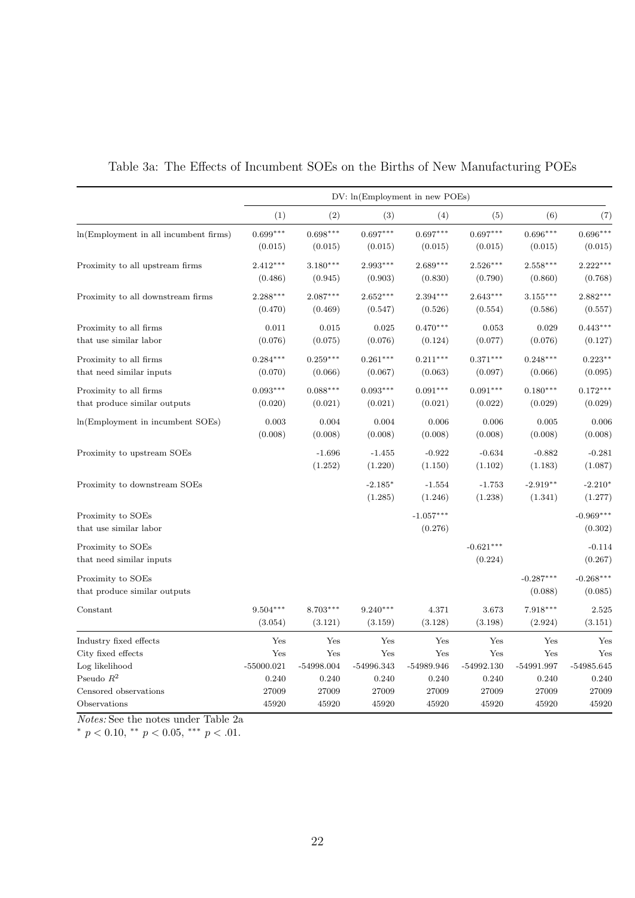<span id="page-22-0"></span>

|                                                        |                       |                       | DV: ln(Employment in new POEs) |                        |                        |                        |                        |
|--------------------------------------------------------|-----------------------|-----------------------|--------------------------------|------------------------|------------------------|------------------------|------------------------|
|                                                        | (1)                   | (2)                   | (3)                            | (4)                    | (5)                    | (6)                    | (7)                    |
| ln(Employment in all incumbent firms)                  | $0.699***$<br>(0.015) | $0.698***$<br>(0.015) | $0.697***$<br>(0.015)          | $0.697***$<br>(0.015)  | $0.697***$<br>(0.015)  | $0.696***$<br>(0.015)  | $0.696***$<br>(0.015)  |
| Proximity to all upstream firms                        | $2.412***$<br>(0.486) | $3.180***$<br>(0.945) | $2.993***$<br>(0.903)          | $2.689***$<br>(0.830)  | $2.526***$<br>(0.790)  | $2.558***$<br>(0.860)  | $2.222***$<br>(0.768)  |
| Proximity to all downstream firms                      | $2.288***$<br>(0.470) | $2.087***$<br>(0.469) | $2.652***$<br>(0.547)          | $2.394***$<br>(0.526)  | $2.643***$<br>(0.554)  | $3.155***$<br>(0.586)  | $2.882***$<br>(0.557)  |
| Proximity to all firms<br>that use similar labor       | 0.011<br>(0.076)      | 0.015<br>(0.075)      | 0.025<br>(0.076)               | $0.470***$<br>(0.124)  | 0.053<br>(0.077)       | 0.029<br>(0.076)       | $0.443***$<br>(0.127)  |
| Proximity to all firms<br>that need similar inputs     | $0.284***$<br>(0.070) | $0.259***$<br>(0.066) | $0.261***$<br>(0.067)          | $0.211***$<br>(0.063)  | $0.371***$<br>(0.097)  | $0.248***$<br>(0.066)  | $0.223**$<br>(0.095)   |
| Proximity to all firms<br>that produce similar outputs | $0.093***$<br>(0.020) | $0.088***$<br>(0.021) | $0.093***$<br>(0.021)          | $0.091***$<br>(0.021)  | $0.091***$<br>(0.022)  | $0.180***$<br>(0.029)  | $0.172***$<br>(0.029)  |
| ln(Employment in incumbent SOEs)                       | 0.003<br>(0.008)      | 0.004<br>(0.008)      | 0.004<br>(0.008)               | 0.006<br>(0.008)       | 0.006<br>(0.008)       | 0.005<br>(0.008)       | 0.006<br>(0.008)       |
| Proximity to upstream SOEs                             |                       | $-1.696$<br>(1.252)   | $-1.455$<br>(1.220)            | $-0.922$<br>(1.150)    | $-0.634$<br>(1.102)    | $-0.882$<br>(1.183)    | $-0.281$<br>(1.087)    |
| Proximity to downstream SOEs                           |                       |                       | $-2.185*$<br>(1.285)           | $-1.554$<br>(1.246)    | $-1.753$<br>(1.238)    | $-2.919**$<br>(1.341)  | $-2.210*$<br>(1.277)   |
| Proximity to SOEs<br>that use similar labor            |                       |                       |                                | $-1.057***$<br>(0.276) |                        |                        | $-0.969***$<br>(0.302) |
| Proximity to SOEs<br>that need similar inputs          |                       |                       |                                |                        | $-0.621***$<br>(0.224) |                        | $-0.114$<br>(0.267)    |
| Proximity to SOEs<br>that produce similar outputs      |                       |                       |                                |                        |                        | $-0.287***$<br>(0.088) | $-0.268***$<br>(0.085) |
| Constant                                               | $9.504***$<br>(3.054) | $8.703***$<br>(3.121) | $9.240***$<br>(3.159)          | 4.371<br>(3.128)       | 3.673<br>(3.198)       | 7.918***<br>(2.924)    | 2.525<br>(3.151)       |
| Industry fixed effects                                 | Yes                   | Yes                   | Yes                            | Yes                    | Yes                    | Yes                    | Yes                    |
| City fixed effects                                     | Yes                   | Yes                   | Yes                            | Yes                    | Yes                    | Yes                    | Yes                    |
| Log likelihood                                         | $-55000.021$          | $-54998.004$          | $-54996.343$                   | $-54989.946$           | $-54992.130$           | $-54991.997$           | $-54985.645$           |
| Pseudo $\mathbb{R}^2$                                  | 0.240                 | 0.240                 | 0.240                          | 0.240                  | 0.240                  | 0.240                  | 0.240                  |
| Censored observations                                  | 27009                 | 27009                 | 27009                          | 27009                  | 27009                  | 27009                  | 27009                  |
| Observations                                           | 45920                 | 45920                 | 45920                          | 45920                  | 45920                  | 45920                  | 45920                  |

## Table 3a: The Effects of Incumbent SOEs on the Births of New Manufacturing POEs

Notes: See the notes under Table [2a](#page-20-0)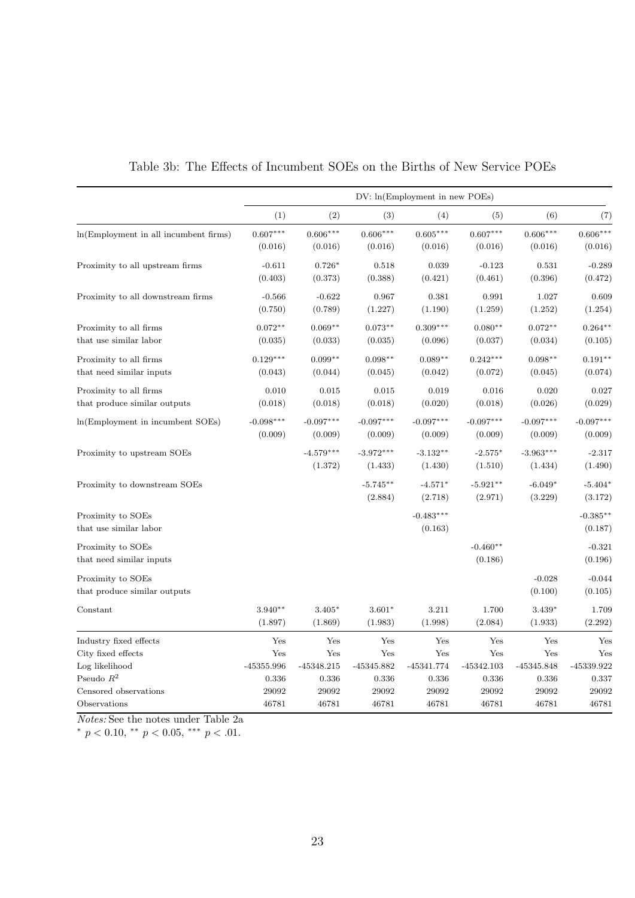<span id="page-23-0"></span>

|                                       |              |              |              | DV: ln(Employment in new POEs) |              |              |             |
|---------------------------------------|--------------|--------------|--------------|--------------------------------|--------------|--------------|-------------|
|                                       | (1)          | (2)          | (3)          | (4)                            | (5)          | (6)          | (7)         |
| ln(Employment in all incumbent firms) | $0.607***$   | $0.606***$   | $0.606***$   | $0.605***$                     | $0.607***$   | $0.606***$   | $0.606***$  |
|                                       | (0.016)      | (0.016)      | (0.016)      | (0.016)                        | (0.016)      | (0.016)      | (0.016)     |
| Proximity to all upstream firms       | $-0.611$     | $0.726*$     | 0.518        | 0.039                          | $-0.123$     | 0.531        | $-0.289$    |
|                                       | (0.403)      | (0.373)      | (0.388)      | (0.421)                        | (0.461)      | (0.396)      | (0.472)     |
| Proximity to all downstream firms     | $-0.566$     | $-0.622$     | 0.967        | 0.381                          | 0.991        | 1.027        | 0.609       |
|                                       | (0.750)      | (0.789)      | (1.227)      | (1.190)                        | (1.259)      | (1.252)      | (1.254)     |
| Proximity to all firms                | $0.072**$    | $0.069**$    | $0.073**$    | $0.309***$                     | $0.080**$    | $0.072**$    | $0.264***$  |
| that use similar labor                | (0.035)      | (0.033)      | (0.035)      | (0.096)                        | (0.037)      | (0.034)      | (0.105)     |
| Proximity to all firms                | $0.129***$   | $0.099**$    | $0.098**$    | $0.089**$                      | $0.242***$   | $0.098**$    | $0.191**$   |
| that need similar inputs              | (0.043)      | (0.044)      | (0.045)      | (0.042)                        | (0.072)      | (0.045)      | (0.074)     |
| Proximity to all firms                | 0.010        | 0.015        | 0.015        | 0.019                          | 0.016        | 0.020        | 0.027       |
| that produce similar outputs          | (0.018)      | (0.018)      | (0.018)      | (0.020)                        | (0.018)      | (0.026)      | (0.029)     |
| In (Employment in incumbent SOEs)     | $-0.098***$  | $-0.097***$  | $-0.097***$  | $-0.097***$                    | $-0.097***$  | $-0.097***$  | $-0.097***$ |
|                                       | (0.009)      | (0.009)      | (0.009)      | (0.009)                        | (0.009)      | (0.009)      | (0.009)     |
| Proximity to upstream SOEs            |              | $-4.579***$  | $-3.972***$  | $-3.132**$                     | $-2.575*$    | $-3.963***$  | $-2.317$    |
|                                       |              | (1.372)      | (1.433)      | (1.430)                        | (1.510)      | (1.434)      | (1.490)     |
| Proximity to downstream SOEs          |              |              | $-5.745**$   | $-4.571*$                      | $-5.921**$   | $-6.049*$    | $-5.404*$   |
|                                       |              |              | (2.884)      | (2.718)                        | (2.971)      | (3.229)      | (3.172)     |
| Proximity to SOEs                     |              |              |              | $-0.483***$                    |              |              | $-0.385**$  |
| that use similar labor                |              |              |              | (0.163)                        |              |              | (0.187)     |
| Proximity to SOEs                     |              |              |              |                                | $-0.460**$   |              | $-0.321$    |
| that need similar inputs              |              |              |              |                                | (0.186)      |              | (0.196)     |
| Proximity to SOEs                     |              |              |              |                                |              | $-0.028$     | $-0.044$    |
| that produce similar outputs          |              |              |              |                                |              | (0.100)      | (0.105)     |
| Constant                              | $3.940**$    | $3.405*$     | $3.601*$     | 3.211                          | 1.700        | 3.439*       | 1.709       |
|                                       | (1.897)      | (1.869)      | (1.983)      | (1.998)                        | (2.084)      | (1.933)      | (2.292)     |
| Industry fixed effects                | Yes          | Yes          | Yes          | Yes                            | Yes          | Yes          | Yes         |
| City fixed effects                    | Yes          | Yes          | Yes          | Yes                            | Yes          | Yes          | Yes         |
| Log likelihood                        | $-45355.996$ | $-45348.215$ | $-45345.882$ | $-45341.774$                   | $-45342.103$ | $-45345.848$ | -45339.922  |
| Pseudo $R^2$                          | 0.336        | 0.336        | 0.336        | 0.336                          | 0.336        | 0.336        | 0.337       |
| Censored observations                 | 29092        | 29092        | 29092        | 29092                          | 29092        | 29092        | 29092       |
| Observations                          | 46781        | 46781        | 46781        | 46781                          | 46781        | 46781        | 46781       |

Table 3b: The Effects of Incumbent SOEs on the Births of New Service POEs

Notes: See the notes under Table [2a](#page-20-0)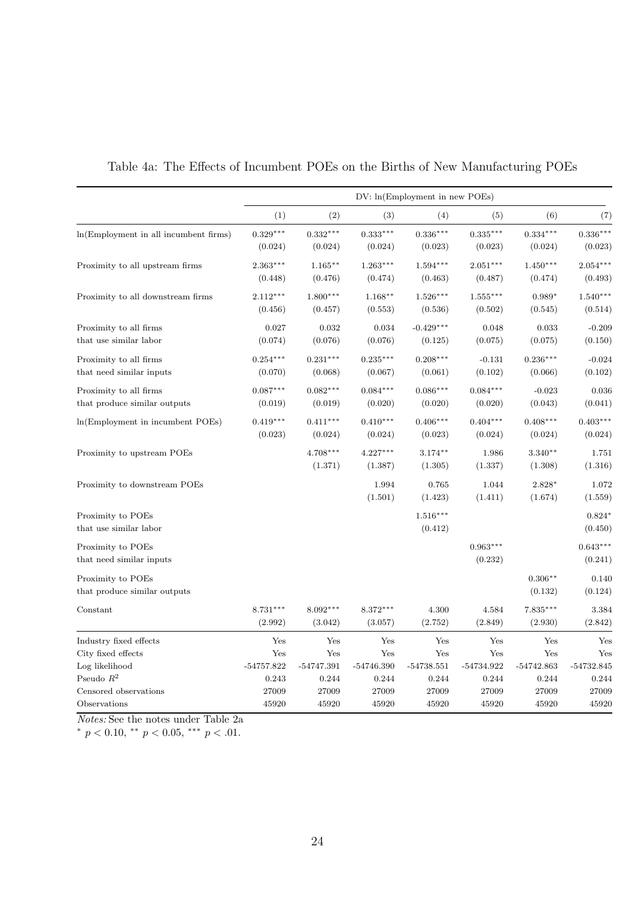<span id="page-24-0"></span>

|                                       |              |              |              | DV: ln(Employment in new POEs) |                 |              |              |
|---------------------------------------|--------------|--------------|--------------|--------------------------------|-----------------|--------------|--------------|
|                                       | (1)          | (2)          | (3)          | (4)                            | (5)             | (6)          | (7)          |
| ln(Employment in all incumbent firms) | $0.329***$   | $0.332***$   | $0.333***$   | $0.336***$                     | $0.335***$      | $0.334***$   | $0.336***$   |
|                                       | (0.024)      | (0.024)      | (0.024)      | (0.023)                        | (0.023)         | (0.024)      | (0.023)      |
| Proximity to all upstream firms       | $2.363***$   | $1.165**$    | $1.263***$   | $1.594***$                     | $2.051***$      | $1.450***$   | $2.054***$   |
|                                       | (0.448)      | (0.476)      | (0.474)      | (0.463)                        | (0.487)         | (0.474)      | (0.493)      |
| Proximity to all downstream firms     | $2.112***$   | $1.800***$   | $1.168**$    | $1.526***$                     | $1.555^{***}\,$ | $0.989*$     | $1.540***$   |
|                                       | (0.456)      | (0.457)      | (0.553)      | (0.536)                        | (0.502)         | (0.545)      | (0.514)      |
| Proximity to all firms                | 0.027        | 0.032        | 0.034        | $-0.429***$                    | 0.048           | 0.033        | $-0.209$     |
| that use similar labor                | (0.074)      | (0.076)      | (0.076)      | (0.125)                        | (0.075)         | (0.075)      | (0.150)      |
| Proximity to all firms                | $0.254***$   | $0.231***$   | $0.235***$   | $0.208***$                     | $-0.131$        | $0.236***$   | $-0.024$     |
| that need similar inputs              | (0.070)      | (0.068)      | (0.067)      | (0.061)                        | (0.102)         | (0.066)      | (0.102)      |
| Proximity to all firms                | $0.087***$   | $0.082***$   | $0.084***$   | $0.086***$                     | $0.084***$      | $-0.023$     | 0.036        |
| that produce similar outputs          | (0.019)      | (0.019)      | (0.020)      | (0.020)                        | (0.020)         | (0.043)      | (0.041)      |
| In (Employment in incumbent POEs)     | $0.419***$   | $0.411***$   | $0.410***$   | $0.406***$                     | $0.404***$      | $0.408***$   | $0.403***$   |
|                                       | (0.023)      | (0.024)      | (0.024)      | (0.023)                        | (0.024)         | (0.024)      | (0.024)      |
| Proximity to upstream POEs            |              | $4.708***$   | $4.227***$   | $3.174***$                     | 1.986           | $3.340**$    | 1.751        |
|                                       |              | (1.371)      | (1.387)      | (1.305)                        | (1.337)         | (1.308)      | (1.316)      |
| Proximity to downstream POEs          |              |              | 1.994        | 0.765                          | 1.044           | 2.828*       | 1.072        |
|                                       |              |              | (1.501)      | (1.423)                        | (1.411)         | (1.674)      | (1.559)      |
| Proximity to POEs                     |              |              |              | $1.516***$                     |                 |              | $0.824*$     |
| that use similar labor                |              |              |              | (0.412)                        |                 |              | (0.450)      |
| Proximity to POEs                     |              |              |              |                                | $0.963***$      |              | $0.643***$   |
| that need similar inputs              |              |              |              |                                | (0.232)         |              | (0.241)      |
| Proximity to POEs                     |              |              |              |                                |                 | $0.306**$    | 0.140        |
| that produce similar outputs          |              |              |              |                                |                 | (0.132)      | (0.124)      |
| Constant                              | $8.731***$   | $8.092***$   | $8.372***$   | 4.300                          | 4.584           | $7.835***$   | 3.384        |
|                                       | (2.992)      | (3.042)      | (3.057)      | (2.752)                        | (2.849)         | (2.930)      | (2.842)      |
| Industry fixed effects                | Yes          | Yes          | Yes          | Yes                            | Yes             | Yes          | Yes          |
| City fixed effects                    | Yes          | Yes          | Yes          | Yes                            | Yes             | Yes          | Yes          |
| Log likelihood                        | $-54757.822$ | $-54747.391$ | $-54746.390$ | $-54738.551$                   | -54734.922      | $-54742.863$ | $-54732.845$ |
| Pseudo $R^2$                          | 0.243        | 0.244        | 0.244        | 0.244                          | 0.244           | 0.244        | 0.244        |
| Censored observations                 | 27009        | 27009        | 27009        | 27009                          | 27009           | 27009        | 27009        |
| Observations                          | 45920        | 45920        | 45920        | 45920                          | 45920           | 45920        | 45920        |

Table 4a: The Effects of Incumbent POEs on the Births of New Manufacturing POEs

Notes: See the notes under Table [2a](#page-20-0)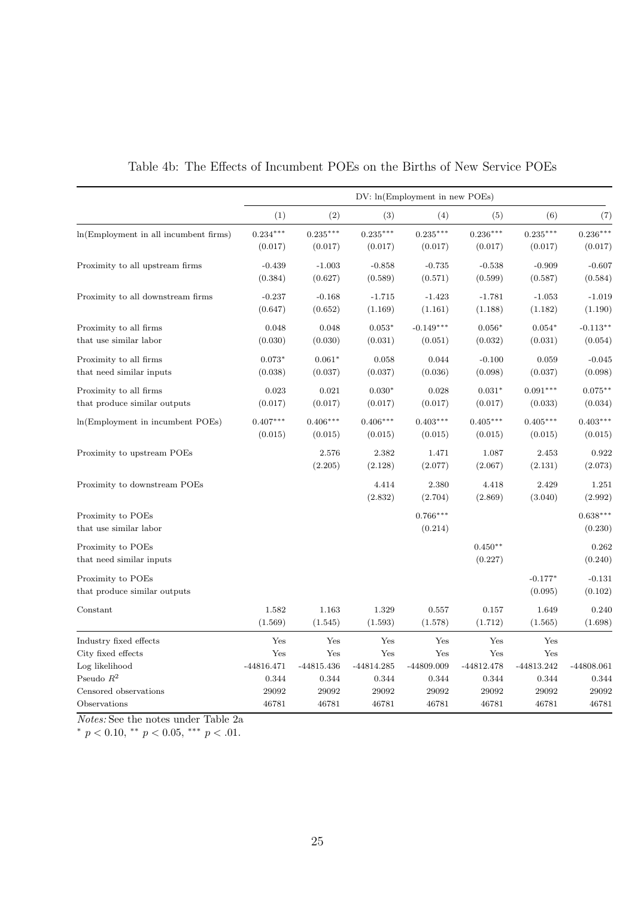<span id="page-25-0"></span>

|                                       |              |              |              | DV: ln(Emplovement in new POEs) |              |            |              |
|---------------------------------------|--------------|--------------|--------------|---------------------------------|--------------|------------|--------------|
|                                       | (1)          | (2)          | (3)          | (4)                             | (5)          | (6)        | (7)          |
| ln(Employment in all incumbent firms) | $0.234***$   | $0.235***$   | $0.235***$   | $0.235***$                      | $0.236***$   | $0.235***$ | $0.236***$   |
|                                       | (0.017)      | (0.017)      | (0.017)      | (0.017)                         | (0.017)      | (0.017)    | (0.017)      |
| Proximity to all upstream firms       | $-0.439$     | $-1.003$     | $-0.858$     | $-0.735$                        | $-0.538$     | $-0.909$   | $-0.607$     |
|                                       | (0.384)      | (0.627)      | (0.589)      | (0.571)                         | (0.599)      | (0.587)    | (0.584)      |
| Proximity to all downstream firms     | $-0.237$     | $-0.168$     | $-1.715$     | $-1.423$                        | $-1.781$     | $-1.053$   | $-1.019$     |
|                                       | (0.647)      | (0.652)      | (1.169)      | (1.161)                         | (1.188)      | (1.182)    | (1.190)      |
| Proximity to all firms                | 0.048        | 0.048        | $0.053*$     | $-0.149***$                     | $0.056*$     | $0.054*$   | $-0.113**$   |
| that use similar labor                | (0.030)      | (0.030)      | (0.031)      | (0.051)                         | (0.032)      | (0.031)    | (0.054)      |
| Proximity to all firms                | $0.073*$     | $0.061*$     | 0.058        | 0.044                           | $-0.100$     | 0.059      | $-0.045$     |
| that need similar inputs              | (0.038)      | (0.037)      | (0.037)      | (0.036)                         | (0.098)      | (0.037)    | (0.098)      |
| Proximity to all firms                | 0.023        | 0.021        | $0.030*$     | 0.028                           | $0.031*$     | $0.091***$ | $0.075**$    |
| that produce similar outputs          | (0.017)      | (0.017)      | (0.017)      | (0.017)                         | (0.017)      | (0.033)    | (0.034)      |
| In (Employment in incumbent POEs)     | $0.407***$   | $0.406***$   | $0.406***$   | $0.403***$                      | $0.405***$   | $0.405***$ | $0.403***$   |
|                                       | (0.015)      | (0.015)      | (0.015)      | (0.015)                         | (0.015)      | (0.015)    | (0.015)      |
| Proximity to upstream POEs            |              | 2.576        | 2.382        | 1.471                           | 1.087        | 2.453      | 0.922        |
|                                       |              | (2.205)      | (2.128)      | (2.077)                         | (2.067)      | (2.131)    | (2.073)      |
| Proximity to downstream POEs          |              |              | 4.414        | 2.380                           | 4.418        | 2.429      | 1.251        |
|                                       |              |              | (2.832)      | (2.704)                         | (2.869)      | (3.040)    | (2.992)      |
| Proximity to POEs                     |              |              |              | $0.766***$                      |              |            | $0.638***$   |
| that use similar labor                |              |              |              | (0.214)                         |              |            | (0.230)      |
| Proximity to POEs                     |              |              |              |                                 | $0.450**$    |            | 0.262        |
| that need similar inputs              |              |              |              |                                 | (0.227)      |            | (0.240)      |
| Proximity to POEs                     |              |              |              |                                 |              | $-0.177*$  | $-0.131$     |
| that produce similar outputs          |              |              |              |                                 |              | (0.095)    | (0.102)      |
| Constant                              | 1.582        | 1.163        | 1.329        | 0.557                           | 0.157        | 1.649      | 0.240        |
|                                       | (1.569)      | (1.545)      | (1.593)      | (1.578)                         | (1.712)      | (1.565)    | (1.698)      |
| Industry fixed effects                | Yes          | Yes          | Yes          | Yes                             | Yes          | Yes        |              |
| City fixed effects                    | Yes          | Yes          | Yes          | Yes                             | Yes          | Yes        |              |
| Log likelihood                        | $-44816.471$ | $-44815.436$ | $-44814.285$ | -44809.009                      | $-44812.478$ | -44813.242 | $-44808.061$ |
| Pseudo $\mathbb{R}^2$                 | 0.344        | 0.344        | 0.344        | 0.344                           | 0.344        | 0.344      | 0.344        |
| Censored observations                 | 29092        | 29092        | 29092        | 29092                           | 29092        | 29092      | 29092        |
| Observations                          | 46781        | 46781        | 46781        | 46781                           | 46781        | 46781      | 46781        |

Table 4b: The Effects of Incumbent POEs on the Births of New Service POEs

Notes: See the notes under Table [2a](#page-20-0)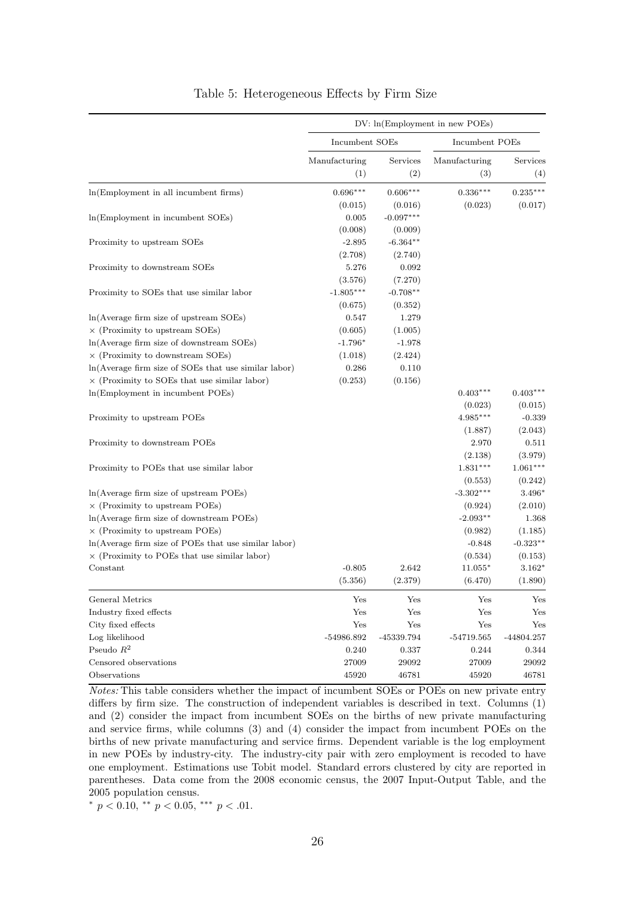<span id="page-26-0"></span>

|                                                        |                      |                 | DV: ln(Employment in new POEs) |                 |
|--------------------------------------------------------|----------------------|-----------------|--------------------------------|-----------------|
|                                                        | Incumbent SOEs       |                 | Incumbent POEs                 |                 |
|                                                        | Manufacturing<br>(1) | Services<br>(2) | Manufacturing<br>(3)           | Services<br>(4) |
| ln(Employment in all incumbent firms)                  | $0.696***$           | $0.606***$      | $0.336***$                     | $0.235***$      |
|                                                        | (0.015)              | (0.016)         | (0.023)                        | (0.017)         |
| In (Employment in incumbent SOEs)                      | 0.005                | $-0.097***$     |                                |                 |
|                                                        | (0.008)              | (0.009)         |                                |                 |
| Proximity to upstream SOEs                             | $-2.895$             | $-6.364**$      |                                |                 |
|                                                        | (2.708)              | (2.740)         |                                |                 |
| Proximity to downstream SOEs                           | 5.276                | 0.092           |                                |                 |
|                                                        | (3.576)              | (7.270)         |                                |                 |
| Proximity to SOEs that use similar labor               | $-1.805***$          | $-0.708**$      |                                |                 |
|                                                        | (0.675)              | (0.352)         |                                |                 |
| $ln(Average firm size of upstream SOEs)$               | 0.547                | 1.279           |                                |                 |
| $\times$ (Proximity to upstream SOEs)                  | (0.605)              | (1.005)         |                                |                 |
| ln(Average firm size of downstream SOEs)               | $-1.796*$            | $-1.978$        |                                |                 |
| $\times$ (Proximity to downstream SOEs)                | (1.018)              | (2.424)         |                                |                 |
| $ln(Average firm size of SOEs that use similar labor)$ | 0.286                | 0.110           |                                |                 |
| $\times$ (Proximity to SOEs that use similar labor)    | (0.253)              | (0.156)         |                                |                 |
| In (Employment in incumbent POEs)                      |                      |                 | $0.403***$                     | $0.403***$      |
|                                                        |                      |                 | (0.023)                        | (0.015)         |
| Proximity to upstream POEs                             |                      |                 | $4.985***$                     | $-0.339$        |
|                                                        |                      |                 | (1.887)                        | (2.043)         |
| Proximity to downstream POEs                           |                      |                 | 2.970                          | 0.511           |
|                                                        |                      |                 | (2.138)                        | (3.979)         |
| Proximity to POEs that use similar labor               |                      |                 | $1.831***$                     | $1.061***$      |
|                                                        |                      |                 | (0.553)                        | (0.242)         |
| $ln(Average firm size of upstream POEs)$               |                      |                 | $-3.302***$                    | 3.496*          |
| $\times$ (Proximity to upstream POEs)                  |                      |                 | (0.924)                        | (2.010)         |
| $ln(Average firm size of downstream POEs)$             |                      |                 | $-2.093**$                     | 1.368           |
| $\times$ (Proximity to upstream POEs)                  |                      |                 | (0.982)                        | (1.185)         |
| $ln(Average firm size of POEs that use similar labor)$ |                      |                 | $-0.848$                       | $-0.323**$      |
| $\times$ (Proximity to POEs that use similar labor)    |                      |                 | (0.534)                        | (0.153)         |
| Constant                                               | $-0.805$             | 2.642           | $11.055*$                      | $3.162*$        |
|                                                        | (5.356)              | (2.379)         | (6.470)                        | (1.890)         |
| General Metrics                                        | Yes                  | Yes             | Yes                            | Yes             |
| Industry fixed effects                                 | Yes                  | Yes             | Yes                            | Yes             |
| City fixed effects                                     | Yes                  | Yes             | Yes                            | Yes             |
| Log likelihood                                         | $-54986.892$         | -45339.794      | $-54719.565$                   | $-44804.257$    |
| Pseudo $R^2$                                           | 0.240                | 0.337           | 0.244                          | 0.344           |
| Censored observations                                  | 27009                | 29092           | 27009                          | 29092           |
| Observations                                           | 45920                | 46781           | 45920                          | 46781           |

#### Table 5: Heterogeneous Effects by Firm Size

Notes: This table considers whether the impact of incumbent SOEs or POEs on new private entry differs by firm size. The construction of independent variables is described in text. Columns (1) and (2) consider the impact from incumbent SOEs on the births of new private manufacturing and service firms, while columns (3) and (4) consider the impact from incumbent POEs on the births of new private manufacturing and service firms. Dependent variable is the log employment in new POEs by industry-city. The industry-city pair with zero employment is recoded to have one employment. Estimations use Tobit model. Standard errors clustered by city are reported in parentheses. Data come from the 2008 economic census, the 2007 Input-Output Table, and the 2005 population census.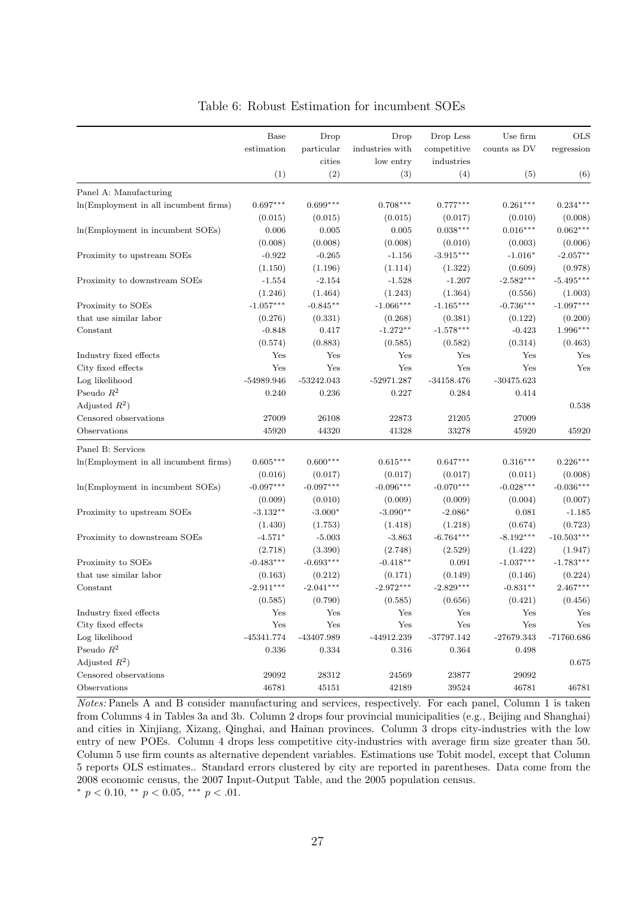<span id="page-27-0"></span>

|                                       | Base                 | Drop                 | Drop            | Drop Less    | Use firm     | <b>OLS</b>   |
|---------------------------------------|----------------------|----------------------|-----------------|--------------|--------------|--------------|
|                                       | estimation           | particular           | industries with | competitive  | counts as DV | regression   |
|                                       |                      | cities               | low entry       | industries   |              |              |
|                                       | (1)                  | (2)                  | (3)             | (4)          | (5)          | (6)          |
| Panel A: Manufacturing                |                      |                      |                 |              |              |              |
| In(Employment in all incumbent firms) | $0.697***$           | $0.699***$           | $0.708***$      | $0.777***$   | $0.261***$   | $0.234***$   |
|                                       | (0.015)              | (0.015)              | (0.015)         | (0.017)      | (0.010)      | (0.008)      |
| In(Employment in incumbent SOEs)      | 0.006                | 0.005                | 0.005           | $0.038***$   | $0.016***$   | $0.062***$   |
|                                       | (0.008)              | (0.008)              | (0.008)         | (0.010)      | (0.003)      | (0.006)      |
| Proximity to upstream SOEs            | $-0.922$             | $-0.265$             | $-1.156$        | $-3.915***$  | $-1.016*$    | $-2.057**$   |
|                                       | (1.150)              | (1.196)              | (1.114)         | (1.322)      | (0.609)      | (0.978)      |
| Proximity to downstream SOEs          | $-1.554$             | $-2.154$             | $-1.528$        | $-1.207$     | $-2.582***$  | $-5.495***$  |
|                                       | (1.246)              | (1.464)              | (1.243)         | (1.364)      | (0.556)      | (1.003)      |
| Proximity to SOEs                     | $-1.057***$          | $-0.845**$           | $-1.066***$     | $-1.165***$  | $-0.736***$  | $-1.097***$  |
| that use similar labor                | (0.276)              | (0.331)              | (0.268)         | (0.381)      | (0.122)      | (0.200)      |
| Constant                              | $-0.848$             | 0.417                | $-1.272**$      | $-1.578***$  | $-0.423$     | $1.996***$   |
|                                       | (0.574)              | (0.883)              | (0.585)         | (0.582)      | (0.314)      | (0.463)      |
| Industry fixed effects                | Yes                  | Yes                  | Yes             | Yes          | Yes          | Yes          |
| City fixed effects                    | $\operatorname{Yes}$ | Yes                  | Yes             | Yes          | Yes          | Yes          |
| Log likelihood                        | $-54989.946$         | $-53242.043$         | $-52971.287$    | $-34158.476$ | $-30475.623$ |              |
| Pseudo $R^2$                          | 0.240                | 0.236                | 0.227           | 0.284        | 0.414        |              |
| Adjusted $R^2$ )                      |                      |                      |                 |              |              | 0.538        |
| Censored observations                 | 27009                | 26108                | 22873           | 21205        | 27009        |              |
| Observations                          | 45920                | 44320                | 41328           | 33278        | 45920        | 45920        |
|                                       |                      |                      |                 |              |              |              |
| Panel B: Services                     |                      |                      |                 |              |              |              |
| In(Employment in all incumbent firms) | $0.605***$           | $0.600***$           | $0.615***$      | $0.647***$   | $0.316***$   | $0.226***$   |
|                                       | (0.016)              | (0.017)              | (0.017)         | (0.017)      | (0.011)      | (0.008)      |
| In(Employment in incumbent SOEs)      | $-0.097***$          | $-0.097***$          | $-0.096***$     | $-0.070***$  | $-0.028***$  | $-0.036***$  |
|                                       | (0.009)              | (0.010)              | (0.009)         | (0.009)      | (0.004)      | (0.007)      |
| Proximity to upstream SOEs            | $-3.132**$           | $-3.000*$            | $-3.090**$      | $-2.086*$    | 0.081        | $-1.185$     |
|                                       | (1.430)              | (1.753)              | (1.418)         | (1.218)      | (0.674)      | (0.723)      |
| Proximity to downstream SOEs          | $-4.571*$            | $-5.003$             | $-3.863$        | $-6.764***$  | $-8.192***$  | $-10.503***$ |
|                                       | (2.718)              | (3.390)              | (2.748)         | (2.529)      | (1.422)      | (1.947)      |
| Proximity to SOEs                     | $-0.483***$          | $-0.693***$          | $-0.418**$      | 0.091        | $-1.037***$  | $-1.783***$  |
| that use similar labor                | (0.163)              | (0.212)              | (0.171)         | (0.149)      | (0.146)      | (0.224)      |
| Constant                              | $-2.911***$          | $-2.041***$          | $-2.972***$     | $-2.829***$  | $-0.831**$   | $2.467***$   |
|                                       | (0.585)              | (0.790)              | (0.585)         | (0.656)      | (0.421)      | (0.456)      |
| Industry fixed effects                | Yes                  | Yes                  | Yes             | Yes          | Yes          | Yes          |
| City fixed effects                    | $\operatorname{Yes}$ | $\operatorname{Yes}$ | Yes             | ${\rm Yes}$  | Yes          | Yes          |
| Log likelihood                        | $-45341.774$         | $-43407.989$         | $-44912.239$    | $-37797.142$ | $-27679.343$ | $-71760.686$ |
| Pseudo $\mathbb{R}^2$                 | 0.336                | 0.334                | 0.316           | 0.364        | 0.498        |              |
| Adjusted $R^2$ )                      |                      |                      |                 |              |              | 0.675        |
| Censored observations                 | 29092                | 28312                | 24569           | 23877        | 29092        |              |
| Observations                          | 46781                | 45151                | 42189           | 39524        | 46781        | 46781        |

Table 6: Robust Estimation for incumbent SOEs

Notes: Panels A and B consider manufacturing and services, respectively. For each panel, Column 1 is taken from Columns 4 in Tables [3a](#page-22-0) and [3b.](#page-23-0) Column 2 drops four provincial municipalities (e.g., Beijing and Shanghai) and cities in Xinjiang, Xizang, Qinghai, and Hainan provinces. Column 3 drops city-industries with the low entry of new POEs. Column 4 drops less competitive city-industries with average firm size greater than 50. Column 5 use firm counts as alternative dependent variables. Estimations use Tobit model, except that Column 5 reports OLS estimates.. Standard errors clustered by city are reported in parentheses. Data come from the 2008 economic census, the 2007 Input-Output Table, and the 2005 population census. \*  $p < 0.10$ , \*\*  $p < 0.05$ , \*\*\*  $p < .01$ .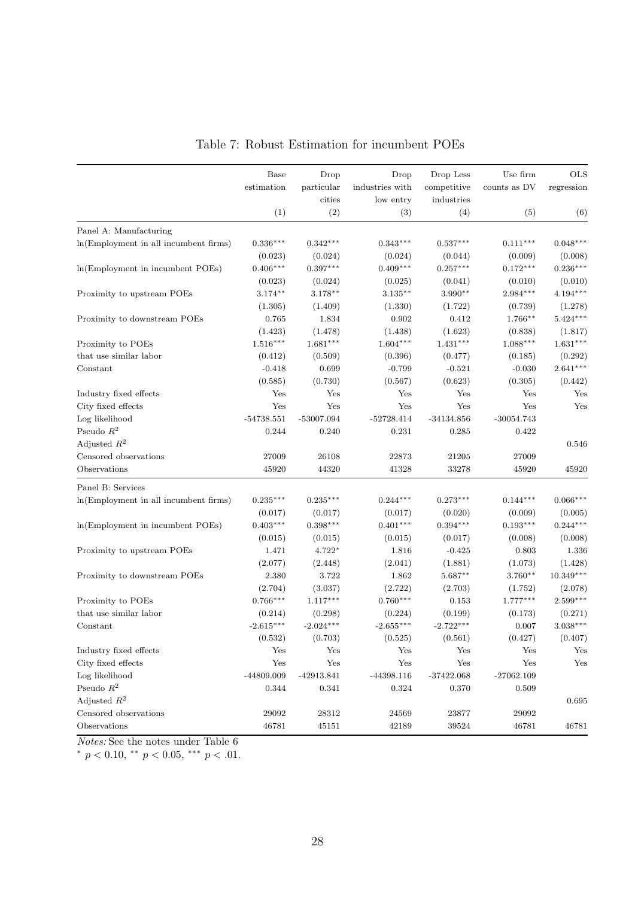<span id="page-28-0"></span>

|                                       | Base         | Drop         | Drop            | Drop Less    | Use firm                      | <b>OLS</b>  |
|---------------------------------------|--------------|--------------|-----------------|--------------|-------------------------------|-------------|
|                                       | estimation   | particular   | industries with | competitive  | counts as $\operatorname{DV}$ | regression  |
|                                       |              | cities       | low entry       | industries   |                               |             |
|                                       | (1)          | (2)          | (3)             | (4)          | (5)                           | (6)         |
| Panel A: Manufacturing                |              |              |                 |              |                               |             |
| ln(Employment in all incumbent firms) | $0.336***$   | $0.342***$   | $0.343***$      | $0.537***$   | $0.111***$                    | $0.048***$  |
|                                       | (0.023)      | (0.024)      | (0.024)         | (0.044)      | (0.009)                       | (0.008)     |
| ln(Employment in incumbent POEs)      | $0.406***$   | $0.397***$   | $0.409***$      | $0.257***$   | $0.172***$                    | $0.236***$  |
|                                       | (0.023)      | (0.024)      | (0.025)         | (0.041)      | (0.010)                       | (0.010)     |
| Proximity to upstream POEs            | $3.174***$   | $3.178***$   | $3.135***$      | $3.990**$    | $2.984***$                    | $4.194***$  |
|                                       | (1.305)      | (1.409)      | (1.330)         | (1.722)      | (0.739)                       | (1.278)     |
| Proximity to downstream POEs          | 0.765        | 1.834        | 0.902           | 0.412        | 1.766**                       | $5.424***$  |
|                                       | (1.423)      | (1.478)      | (1.438)         | (1.623)      | (0.838)                       | (1.817)     |
| Proximity to POEs                     | $1.516***$   | $1.681***$   | $1.604***$      | $1.431***$   | $1.088***$                    | $1.631***$  |
| that use similar labor                | (0.412)      | (0.509)      | (0.396)         | (0.477)      | (0.185)                       | (0.292)     |
| Constant                              | $-0.418$     | 0.699        | $-0.799$        | $-0.521$     | $-0.030$                      | $2.641***$  |
|                                       | (0.585)      | (0.730)      | (0.567)         | (0.623)      | (0.305)                       | (0.442)     |
| Industry fixed effects                | Yes          | Yes          | Yes             | $_{\rm Yes}$ | Yes                           | Yes         |
| City fixed effects                    | Yes          | Yes          | Yes             | Yes          | Yes                           | Yes         |
| Log likelihood                        | $-54738.551$ | -53007.094   | $-52728.414$    | $-34134.856$ | $-30054.743$                  |             |
| Pseudo $\mathbb{R}^2$                 | 0.244        | 0.240        | 0.231           | 0.285        | 0.422                         |             |
| Adjusted $R^2$                        |              |              |                 |              |                               | 0.546       |
| Censored observations                 | 27009        | 26108        | 22873           | 21205        | 27009                         |             |
| Observations                          | 45920        | 44320        | 41328           | 33278        | 45920                         | 45920       |
| Panel B: Services                     |              |              |                 |              |                               |             |
| ln(Employment in all incumbent firms) | $0.235***$   | $0.235***$   | $0.244***$      | $0.273***$   | $0.144***$                    | $0.066***$  |
|                                       | (0.017)      | (0.017)      | (0.017)         | (0.020)      | (0.009)                       | (0.005)     |
| In(Employment in incumbent POEs)      | $0.403***$   | $0.398***$   | $0.401***$      | $0.394***$   | $0.193***$                    | $0.244***$  |
|                                       | (0.015)      | (0.015)      | (0.015)         | (0.017)      | (0.008)                       | (0.008)     |
| Proximity to upstream POEs            | 1.471        | $4.722*$     | 1.816           | $-0.425$     | 0.803                         | 1.336       |
|                                       | (2.077)      | (2.448)      | (2.041)         | (1.881)      | (1.073)                       | (1.428)     |
| Proximity to downstream POEs          | 2.380        | 3.722        | 1.862           | $5.687**$    | $3.760**$                     | $10.349***$ |
|                                       | (2.704)      | (3.037)      | (2.722)         | (2.703)      | (1.752)                       | (2.078)     |
| Proximity to POEs                     | $0.766***$   | $1.117***$   | $0.760***$      | 0.153        | $1.777***$                    | $2.599***$  |
| that use similar labor                | (0.214)      | (0.298)      | (0.224)         | (0.199)      | (0.173)                       | (0.271)     |
| Constant                              | $-2.615***$  | $-2.024***$  | $-2.655***$     | $-2.722***$  | 0.007                         | $3.038***$  |
|                                       | (0.532)      | (0.703)      | (0.525)         | (0.561)      | (0.427)                       | (0.407)     |
| Industry fixed effects                | Yes          | Yes          | Yes             | Yes          | Yes                           | Yes         |
| City fixed effects                    | Yes          | Yes          | Yes             | Yes          | Yes                           | Yes         |
| Log likelihood                        | -44809.009   | $-42913.841$ | $-44398.116$    | $-37422.068$ | $-27062.109$                  |             |
| Pseudo $\mathbb{R}^2$                 | 0.344        | 0.341        | 0.324           | 0.370        | 0.509                         |             |
| Adjusted $R^2$                        |              |              |                 |              |                               | 0.695       |
| Censored observations                 | 29092        | 28312        | 24569           | 23877        | 29092                         |             |
| Observations                          | 46781        | 45151        | 42189           | 39524        | 46781                         | 46781       |

Table 7: Robust Estimation for incumbent POEs

Notes: See the notes under Table [6](#page-27-0)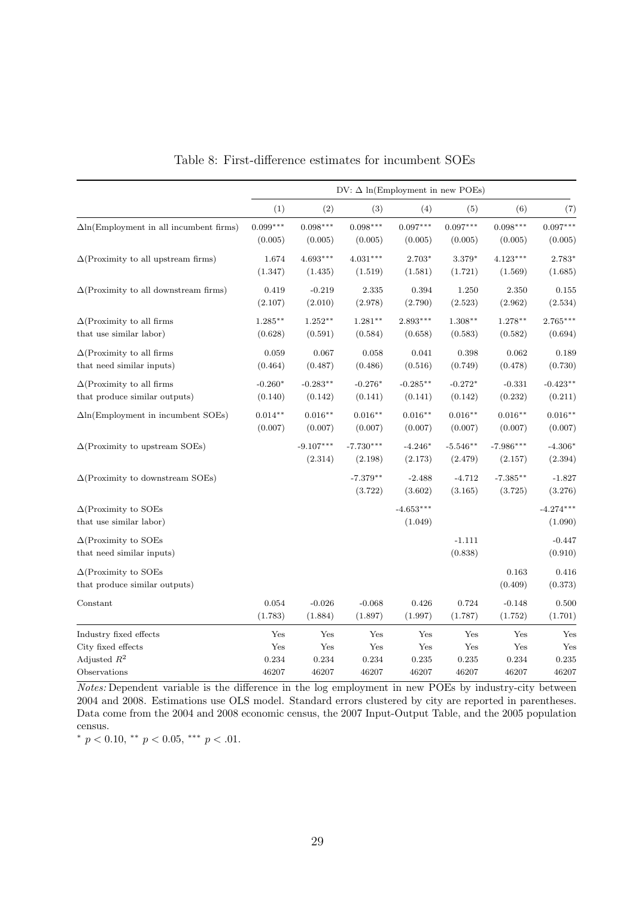<span id="page-29-0"></span>

|                                                              |            |                        |                        | $DV: \Delta \ln(\text{Employment in new POEs})$ |                       |                        |                        |
|--------------------------------------------------------------|------------|------------------------|------------------------|-------------------------------------------------|-----------------------|------------------------|------------------------|
|                                                              | (1)        | (2)                    | (3)                    | (4)                                             | (5)                   | (6)                    | (7)                    |
| $\Delta$ ln(Employment in all incumbent firms)               | $0.099***$ | $0.098***$             | $0.098***$             | $0.097***$                                      | $0.097***$            | $0.098***$             | $0.097***$             |
|                                                              | (0.005)    | (0.005)                | (0.005)                | (0.005)                                         | (0.005)               | (0.005)                | (0.005)                |
| $\Delta$ (Proximity to all upstream firms)                   | 1.674      | $4.693***$             | $4.031***$             | 2.703*                                          | 3.379*                | $4.123***$             | 2.783*                 |
|                                                              | (1.347)    | (1.435)                | (1.519)                | (1.581)                                         | (1.721)               | (1.569)                | (1.685)                |
| $\Delta$ (Proximity to all downstream firms)                 | 0.419      | $-0.219$               | 2.335                  | 0.394                                           | 1.250                 | 2.350                  | 0.155                  |
|                                                              | (2.107)    | (2.010)                | (2.978)                | (2.790)                                         | (2.523)               | (2.962)                | (2.534)                |
| $\Delta$ (Proximity to all firms                             | $1.285**$  | $1.252**$              | $1.281**$              | $2.893***$                                      | $1.308**$             | $1.278**$              | $2.765***$             |
| that use similar labor)                                      | (0.628)    | (0.591)                | (0.584)                | (0.658)                                         | (0.583)               | (0.582)                | (0.694)                |
| $\Delta$ (Proximity to all firms                             | 0.059      | 0.067                  | 0.058                  | 0.041                                           | 0.398                 | 0.062                  | 0.189                  |
| that need similar inputs)                                    | (0.464)    | (0.487)                | (0.486)                | (0.516)                                         | (0.749)               | (0.478)                | (0.730)                |
| $\Delta$ (Proximity to all firms                             | $-0.260*$  | $-0.283**$             | $-0.276*$              | $-0.285**$                                      | $-0.272*$             | $-0.331$               | $-0.423**$             |
| that produce similar outputs)                                | (0.140)    | (0.142)                | (0.141)                | (0.141)                                         | (0.142)               | (0.232)                | (0.211)                |
| $\Delta$ ln(Employment in incumbent SOEs)                    | $0.014**$  | $0.016**$              | $0.016**$              | $0.016**$                                       | $0.016**$             | $0.016**$              | $0.016**$              |
|                                                              | (0.007)    | (0.007)                | (0.007)                | (0.007)                                         | (0.007)               | (0.007)                | (0.007)                |
| $\Delta$ (Proximity to upstream SOEs)                        |            | $-9.107***$<br>(2.314) | $-7.730***$<br>(2.198) | $-4.246*$<br>(2.173)                            | $-5.546**$<br>(2.479) | $-7.986***$<br>(2.157) | $-4.306*$<br>(2.394)   |
| $\Delta$ (Proximity to downstream SOEs)                      |            |                        | $-7.379**$<br>(3.722)  | $-2.488$<br>(3.602)                             | $-4.712$<br>(3.165)   | $-7.385**$<br>(3.725)  | $-1.827$<br>(3.276)    |
| $\Delta$ (Proximity to SOEs<br>that use similar labor)       |            |                        |                        | $-4.653***$<br>(1.049)                          |                       |                        | $-4.274***$<br>(1.090) |
| $\Delta$ (Proximity to SOEs<br>that need similar inputs)     |            |                        |                        |                                                 | $-1.111$<br>(0.838)   |                        | $-0.447$<br>(0.910)    |
| $\Delta$ (Proximity to SOEs<br>that produce similar outputs) |            |                        |                        |                                                 |                       | 0.163<br>(0.409)       | 0.416<br>(0.373)       |
| Constant                                                     | 0.054      | $-0.026$               | $-0.068$               | 0.426                                           | 0.724                 | $-0.148$               | 0.500                  |
|                                                              | (1.783)    | (1.884)                | (1.897)                | (1.997)                                         | (1.787)               | (1.752)                | (1.701)                |
| Industry fixed effects                                       | Yes        | Yes                    | Yes                    | Yes                                             | Yes                   | Yes                    | Yes                    |
| City fixed effects                                           | Yes        | Yes                    | Yes                    | Yes                                             | $\operatorname{Yes}$  | Yes                    | Yes                    |
| Adjusted $R^2$                                               | 0.234      | 0.234                  | 0.234                  | 0.235                                           | 0.235                 | 0.234                  | 0.235                  |
| Observations                                                 | 46207      | 46207                  | 46207                  | 46207                                           | 46207                 | 46207                  | 46207                  |

Table 8: First-difference estimates for incumbent SOEs

Notes: Dependent variable is the difference in the log employment in new POEs by industry-city between 2004 and 2008. Estimations use OLS model. Standard errors clustered by city are reported in parentheses. Data come from the 2004 and 2008 economic census, the 2007 Input-Output Table, and the 2005 population census.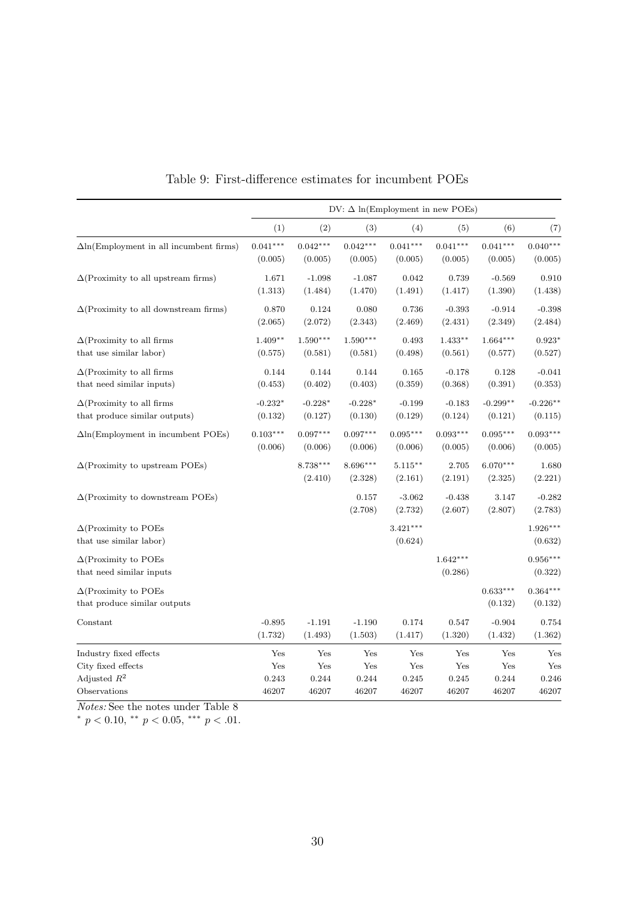<span id="page-30-0"></span>

|                                                             | $DV: \Delta \ln(\text{Employment in new POEs})$ |                      |                       |                       |                       |                       |                       |  |  |
|-------------------------------------------------------------|-------------------------------------------------|----------------------|-----------------------|-----------------------|-----------------------|-----------------------|-----------------------|--|--|
|                                                             | (1)                                             | (2)                  | (3)                   | (4)                   | (5)                   | (6)                   | (7)                   |  |  |
| $\Delta$ ln(Employment in all incumbent firms)              | $0.041***$                                      | $0.042***$           | $0.042***$            | $0.041***$            | $0.041***$            | $0.041***$            | $0.040***$            |  |  |
|                                                             | (0.005)                                         | (0.005)              | (0.005)               | (0.005)               | (0.005)               | (0.005)               | (0.005)               |  |  |
| $\Delta$ (Proximity to all upstream firms)                  | 1.671                                           | $-1.098$             | $-1.087$              | 0.042                 | 0.739                 | $-0.569$              | 0.910                 |  |  |
|                                                             | (1.313)                                         | (1.484)              | (1.470)               | (1.491)               | (1.417)               | (1.390)               | (1.438)               |  |  |
| $\Delta$ (Proximity to all downstream firms)                | 0.870                                           | 0.124                | 0.080                 | 0.736                 | $-0.393$              | $-0.914$              | $-0.398$              |  |  |
|                                                             | (2.065)                                         | (2.072)              | (2.343)               | (2.469)               | (2.431)               | (2.349)               | (2.484)               |  |  |
| $\Delta$ (Proximity to all firms                            | $1.409**$                                       | $1.590***$           | $1.590***$            | 0.493                 | $1.433**$             | $1.664***$            | $0.923*$              |  |  |
| that use similar labor)                                     | (0.575)                                         | (0.581)              | (0.581)               | (0.498)               | (0.561)               | (0.577)               | (0.527)               |  |  |
| $\Delta$ (Proximity to all firms                            | 0.144                                           | 0.144                | 0.144                 | 0.165                 | $-0.178$              | 0.128                 | $-0.041$              |  |  |
| that need similar inputs)                                   | (0.453)                                         | (0.402)              | (0.403)               | (0.359)               | (0.368)               | (0.391)               | (0.353)               |  |  |
| $\Delta$ (Proximity to all firms                            | $-0.232*$                                       | $-0.228*$            | $-0.228*$             | $-0.199$              | $-0.183$              | $-0.299**$            | $-0.226**$            |  |  |
| that produce similar outputs)                               | (0.132)                                         | (0.127)              | (0.130)               | (0.129)               | (0.124)               | (0.121)               | (0.115)               |  |  |
| $\Delta$ ln(Employment in incumbent POEs)                   | $0.103***$                                      | $0.097***$           | $0.097***$            | $0.095***$            | $0.093***$            | $0.095***$            | $0.093***$            |  |  |
|                                                             | (0.006)                                         | (0.006)              | (0.006)               | (0.006)               | (0.005)               | (0.006)               | (0.005)               |  |  |
| $\Delta$ (Proximity to upstream POEs)                       |                                                 | 8.738***<br>(2.410)  | $8.696***$<br>(2.328) | $5.115***$<br>(2.161) | 2.705<br>(2.191)      | $6.070***$<br>(2.325) | 1.680<br>(2.221)      |  |  |
| $\Delta$ (Proximity to downstream POEs)                     |                                                 |                      | 0.157<br>(2.708)      | $-3.062$<br>(2.732)   | $-0.438$<br>(2.607)   | 3.147<br>(2.807)      | $-0.282$<br>(2.783)   |  |  |
| $\Delta$ (Proximity to POEs<br>that use similar labor)      |                                                 |                      |                       | $3.421***$<br>(0.624) |                       |                       | $1.926***$<br>(0.632) |  |  |
| $\Delta$ (Proximity to POEs<br>that need similar inputs     |                                                 |                      |                       |                       | $1.642***$<br>(0.286) |                       | $0.956***$<br>(0.322) |  |  |
| $\Delta$ (Proximity to POEs<br>that produce similar outputs |                                                 |                      |                       |                       |                       | $0.633***$<br>(0.132) | $0.364***$<br>(0.132) |  |  |
| Constant                                                    | $-0.895$                                        | $-1.191$             | $-1.190$              | 0.174                 | 0.547                 | $-0.904$              | 0.754                 |  |  |
|                                                             | (1.732)                                         | (1.493)              | (1.503)               | (1.417)               | (1.320)               | (1.432)               | (1.362)               |  |  |
| Industry fixed effects                                      | Yes                                             | Yes                  | Yes                   | Yes                   | Yes                   | Yes                   | Yes                   |  |  |
| City fixed effects                                          | $\operatorname{Yes}$                            | $\operatorname{Yes}$ | Yes                   | ${\rm Yes}$           | Yes                   | Yes                   | Yes                   |  |  |
| Adjusted $R^2$                                              | 0.243                                           | 0.244                | 0.244                 | 0.245                 | 0.245                 | 0.244                 | 0.246                 |  |  |
| Observations                                                | 46207                                           | 46207                | 46207                 | 46207                 | 46207                 | 46207                 | 46207                 |  |  |

Table 9: First-difference estimates for incumbent POEs

Notes: See the notes under Table [8](#page-29-0)